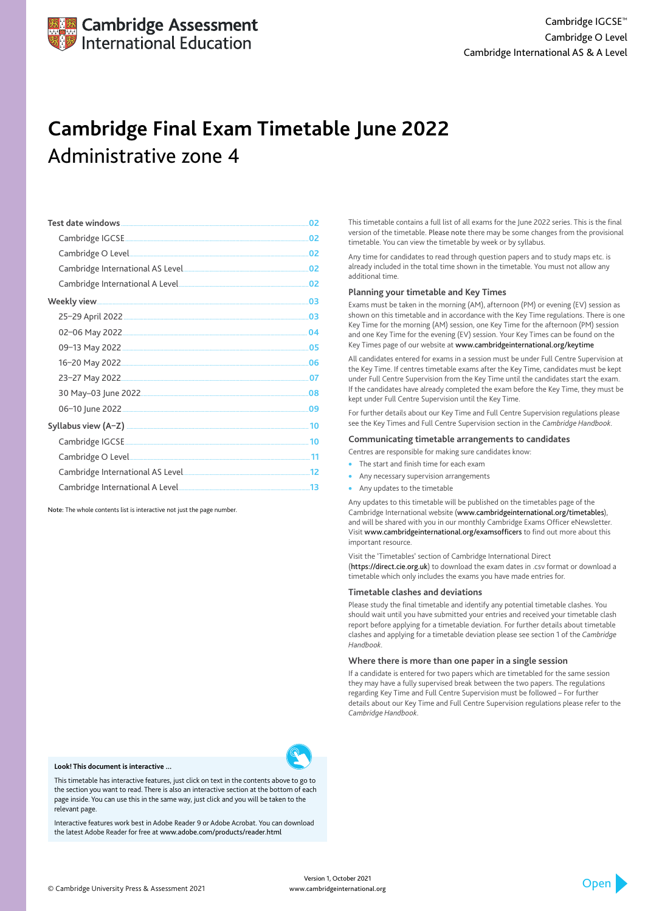| 02 |
|----|
| 02 |
| 02 |
| 02 |
| 02 |
| 03 |
| 03 |
| 04 |
| 05 |
| 06 |
| 07 |
| 08 |
| 09 |
| 10 |
|    |
|    |
|    |
|    |

- The start and finish time for each exam
- Any necessary supervision arrangements
- Any updates to the timetable

Note: The whole contents list is interactive not just the page number.

This timetable contains a full list of all exams for the June 2022 series. This is the final version of the timetable. Please note there may be some changes from the provisional timetable. You can view the timetable by week or by syllabus.

Any time for candidates to read through question papers and to study maps etc. is already included in the total time shown in the timetable. You must not allow any additional time.

## **Planning your timetable and Key Times**

Exams must be taken in the morning (AM), afternoon (PM) or evening (EV) session as shown on this timetable and in accordance with the Key Time regulations. There is one Key Time for the morning (AM) session, one Key Time for the afternoon (PM) session and one Key Time for the evening (EV) session. Your Key Times can be found on the Key Times page of our website at www.cambridgeinternational.org/keytime

All candidates entered for exams in a session must be under Full Centre Supervision at the Key Time. If centres timetable exams after the Key Time, candidates must be kept under Full Centre Supervision from the Key Time until the candidates start the exam. If the candidates have already completed the exam before the Key Time, they must be kept under Full Centre Supervision until the Key Time.

For further details about our Key Time and Full Centre Supervision regulations please see the Key Times and Full Centre Supervision section in the *Cambridge Handbook*.

## **Communicating timetable arrangements to candidates**

Centres are responsible for making sure candidates know:

Any updates to this timetable will be published on the timetables page of the Cambridge International website (www.cambridgeinternational.org/timetables), and will be shared with you in our monthly Cambridge Exams Officer eNewsletter. Visit www.cambridgeinternational.org/examsofficers to find out more about this important resource.

Visit the 'Timetables' section of Cambridge International Direct (https://direct.cie.org.uk) to download the exam dates in .csv format or download a timetable which only includes the exams you have made entries for.

## **Timetable clashes and deviations**

Please study the final timetable and identify any potential timetable clashes. You should wait until you have submitted your entries and received your timetable clash report before applying for a timetable deviation. For further details about timetable clashes and applying for a timetable deviation please see section 1 of the *Cambridge Handbook*.

## **Where there is more than one paper in a single session**

If a candidate is entered for two papers which are timetabled for the same session they may have a fully supervised break between the two papers. The regulations

regarding Key Time and Full Centre Supervision must be followed – For further details about our Key Time and Full Centre Supervision regulations please refer to the *Cambridge Handbook*.



# **Cambridge Final Exam Timetable June 2022** Administrative zone 4



#### **Look! This document is interactive ...**

This timetable has interactive features, just click on text in the contents above to go to the section you want to read. There is also an interactive section at the bottom of each page inside. You can use this in the same way, just click and you will be taken to the relevant page.

Interactive features work best in Adobe Reader 9 or Adobe Acrobat. You can download the latest Adobe Reader for free at www.adobe.com/products/reader.html

> Version 1, October 2021 www.cambridgeinternational.org

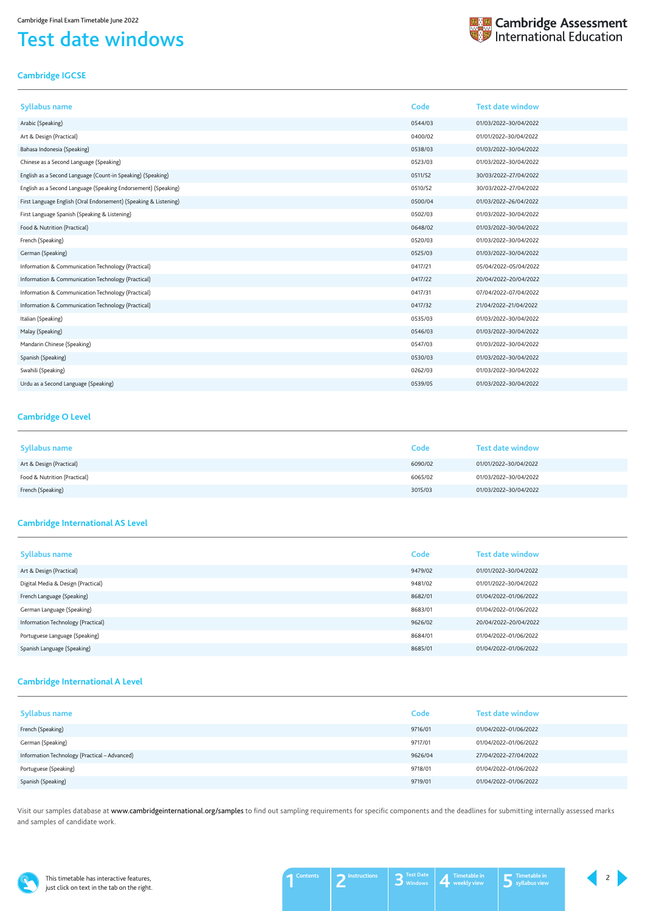This timetable has interactive features, just click on text in the tab on the right.

## <span id="page-1-0"></span>Test date windows



## <span id="page-1-1"></span>**Cambridge IGCSE**

| <b>Syllabus name</b>                                             | Code    | <b>Test date window</b> |
|------------------------------------------------------------------|---------|-------------------------|
| Arabic (Speaking)                                                | 0544/03 | 01/03/2022-30/04/2022   |
| Art & Design (Practical)                                         | 0400/02 | 01/01/2022-30/04/2022   |
| Bahasa Indonesia (Speaking)                                      | 0538/03 | 01/03/2022-30/04/2022   |
| Chinese as a Second Language (Speaking)                          | 0523/03 | 01/03/2022-30/04/2022   |
| English as a Second Language (Count-in Speaking) (Speaking)      | 0511/52 | 30/03/2022-27/04/2022   |
| English as a Second Language (Speaking Endorsement) (Speaking)   | 0510/52 | 30/03/2022-27/04/2022   |
| First Language English (Oral Endorsement) (Speaking & Listening) | 0500/04 | 01/03/2022-26/04/2022   |
| First Language Spanish (Speaking & Listening)                    | 0502/03 | 01/03/2022-30/04/2022   |
| Food & Nutrition (Practical)                                     | 0648/02 | 01/03/2022-30/04/2022   |
| French (Speaking)                                                | 0520/03 | 01/03/2022-30/04/2022   |
| German (Speaking)                                                | 0525/03 | 01/03/2022-30/04/2022   |
| Information & Communication Technology (Practical)               | 0417/21 | 05/04/2022-05/04/2022   |
| Information & Communication Technology (Practical)               | 0417/22 | 20/04/2022-20/04/2022   |
| Information & Communication Technology (Practical)               | 0417/31 | 07/04/2022-07/04/2022   |
| Information & Communication Technology (Practical)               | 0417/32 | 21/04/2022-21/04/2022   |
| Italian (Speaking)                                               | 0535/03 | 01/03/2022-30/04/2022   |
| Malay (Speaking)                                                 | 0546/03 | 01/03/2022-30/04/2022   |
| Mandarin Chinese (Speaking)                                      | 0547/03 | 01/03/2022-30/04/2022   |
| Spanish (Speaking)                                               | 0530/03 | 01/03/2022-30/04/2022   |
| Swahili (Speaking)                                               | 0262/03 | 01/03/2022-30/04/2022   |
| Urdu as a Second Language (Speaking)                             | 0539/05 | 01/03/2022-30/04/2022   |

Visit our samples database at www.cambridgeinternational.org/samples to find out sampling requirements for specific components and the deadlines for submitting internally assessed marks and samples of candidate work.



## <span id="page-1-2"></span>**Cambridge O Level**

| <b>Syllabus name</b>         | Code    | <b>Test date window</b> |
|------------------------------|---------|-------------------------|
| Art & Design (Practical)     | 6090/02 | 01/01/2022-30/04/2022   |
| Food & Nutrition (Practical) | 6065/02 | 01/03/2022-30/04/2022   |
| French (Speaking)            | 3015/03 | 01/03/2022-30/04/2022   |

## <span id="page-1-3"></span>**Cambridge International AS Level**

| <b>Syllabus name</b>               | Code    | <b>Test date window</b> |
|------------------------------------|---------|-------------------------|
| Art & Design (Practical)           | 9479/02 | 01/01/2022-30/04/2022   |
| Digital Media & Design (Practical) | 9481/02 | 01/01/2022-30/04/2022   |
| French Language (Speaking)         | 8682/01 | 01/04/2022-01/06/2022   |
| German Language (Speaking)         | 8683/01 | 01/04/2022-01/06/2022   |
| Information Technology (Practical) | 9626/02 | 20/04/2022-20/04/2022   |
| Portuguese Language (Speaking)     | 8684/01 | 01/04/2022-01/06/2022   |
| Spanish Language (Speaking)        | 8685/01 | 01/04/2022-01/06/2022   |

## <span id="page-1-4"></span>**Cambridge International A Level**

| Syllabus name                                 | Code    | <b>Test date window</b> |
|-----------------------------------------------|---------|-------------------------|
| French (Speaking)                             | 9716/01 | 01/04/2022-01/06/2022   |
| German (Speaking)                             | 9717/01 | 01/04/2022-01/06/2022   |
| Information Technology (Practical - Advanced) | 9626/04 | 27/04/2022-27/04/2022   |
| Portuguese (Speaking)                         | 9718/01 | 01/04/2022-01/06/2022   |
| Spanish (Speaking)                            | 9719/01 | 01/04/2022-01/06/2022   |

2

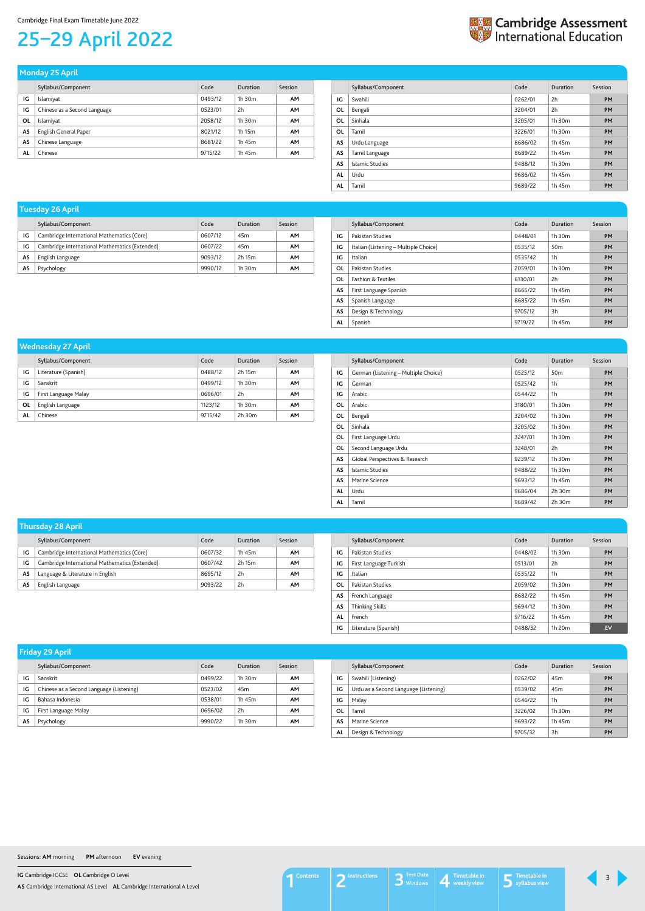**IG** Cambridge IGCSE **OL** Cambridge O Level

**AS** Cambridge International AS Level **AL** Cambridge International A Level

## Cambridge Final Exam Timetable June 2022

# <span id="page-2-1"></span>25–29 April 2022



|    | Syllabus/Component           | Code    | Duration    | Session   |
|----|------------------------------|---------|-------------|-----------|
| IG | Islamiyat                    | 0493/12 | $1h$ 30 $m$ | AM        |
| IG | Chinese as a Second Language | 0523/01 | 2h          | <b>AM</b> |
| ΟL | Islamiyat                    | 2058/12 | $1h$ 30 $m$ | <b>AM</b> |
| AS | English General Paper        | 8021/12 | 1h 15m      | <b>AM</b> |
| AS | Chinese Language             | 8681/22 | 1h 45m      | <b>AM</b> |
| AL | Chinese                      | 9715/22 | 1h 45m      | <b>AM</b> |

## **Monday 25 April**

<span id="page-2-0"></span>

|           | Syllabus/Component | Code    | Duration | Session   |
|-----------|--------------------|---------|----------|-----------|
| IG        | Swahili            | 0262/01 | 2h       | <b>PM</b> |
| 0L        | Bengali            | 3204/01 | 2h       | <b>PM</b> |
| OL        | Sinhala            | 3205/01 | 1h 30m   | <b>PM</b> |
| 0L        | Tamil              | 3226/01 | 1h 30m   | <b>PM</b> |
| AS        | Urdu Language      | 8686/02 | 1h 45m   | <b>PM</b> |
| AS        | Tamil Language     | 8689/22 | 1h 45m   | <b>PM</b> |
| <b>AS</b> | Islamic Studies    | 9488/12 | 1h 30m   | <b>PM</b> |
| AL        | Urdu               | 9686/02 | 1h 45m   | <b>PM</b> |
| AL        | Tamil              | 9689/22 | 1h 45m   | <b>PM</b> |
|           |                    |         |          |           |

|    | Syllabus/Component                             | Code    | Duration        | Session |
|----|------------------------------------------------|---------|-----------------|---------|
| IG | Cambridge International Mathematics (Core)     | 0607/12 | 45 <sub>m</sub> | AΜ      |
| IG | Cambridge International Mathematics (Extended) | 0607/22 | 45 <sub>m</sub> | AМ      |
| AS | English Language                               | 9093/12 | 2h 15m          | AΜ      |
| AS | Psychology                                     | 9990/12 | $1h$ 30 $m$     | AΜ      |

## **Tuesday 26 April**

|    | Syllabus/Component                    | Code    | Duration        | Session   |
|----|---------------------------------------|---------|-----------------|-----------|
| IG | Pakistan Studies                      | 0448/01 | $1h$ 30 $m$     | <b>PM</b> |
| IG | Italian (Listening - Multiple Choice) | 0535/12 | 50 <sub>m</sub> | <b>PM</b> |
| IG | Italian                               | 0535/42 | 1h              | <b>PM</b> |
| 0L | Pakistan Studies                      | 2059/01 | 1h 30m          | <b>PM</b> |
| 0L | <b>Fashion &amp; Textiles</b>         | 6130/01 | 2h              | <b>PM</b> |
| AS | First Language Spanish                | 8665/22 | 1h 45m          | <b>PM</b> |
| AS | Spanish Language                      | 8685/22 | 1h 45m          | <b>PM</b> |
| AS | Design & Technology                   | 9705/12 | 3h              | <b>PM</b> |
| AL | Spanish                               | 9719/22 | 1h 45m          | <b>PM</b> |

|    | Syllabus/Component   | Code    | Duration    | Session   |
|----|----------------------|---------|-------------|-----------|
| IG | Literature (Spanish) | 0488/12 | 2h 15m      | <b>AM</b> |
| IG | Sanskrit             | 0499/12 | $1h$ 30 $m$ | <b>AM</b> |
| IG | First Language Malay | 0696/01 | 2h          | <b>AM</b> |
| OL | English Language     | 1123/12 | $1h$ 30 $m$ | <b>AM</b> |
| AL | Chinese              | 9715/42 | $2h$ 30 $m$ | <b>AM</b> |

## **Wednesday 27 April**

|           | Syllabus/Component                   | Code    | Duration        | Session   |
|-----------|--------------------------------------|---------|-----------------|-----------|
| IG        | German (Listening - Multiple Choice) | 0525/12 | 50 <sub>m</sub> | <b>PM</b> |
| IG        | German                               | 0525/42 | 1h              | <b>PM</b> |
| IG        | Arabic                               | 0544/22 | 1h              | <b>PM</b> |
| <b>OL</b> | Arabic                               | 3180/01 | 1h 30m          | <b>PM</b> |
| <b>OL</b> | Bengali                              | 3204/02 | 1h 30m          | <b>PM</b> |
| 0L        | Sinhala                              | 3205/02 | 1h 30m          | <b>PM</b> |
| OL        | First Language Urdu                  | 3247/01 | $1h$ 30 $m$     | <b>PM</b> |
| 0L        | Second Language Urdu                 | 3248/01 | 2h              | <b>PM</b> |
| <b>AS</b> | Global Perspectives & Research       | 9239/12 | 1h 30m          | <b>PM</b> |
| <b>AS</b> | Islamic Studies                      | 9488/22 | 1h 30m          | <b>PM</b> |
| <b>AS</b> | Marine Science                       | 9693/12 | 1h 45m          | <b>PM</b> |
| AL        | Urdu                                 | 9686/04 | 2h 30m          | <b>PM</b> |
| AL        | Tamil                                | 9689/42 | 2h 30m          | <b>PM</b> |

|    | Syllabus/Component                             | Code    | Duration | Session |
|----|------------------------------------------------|---------|----------|---------|
| IG | Cambridge International Mathematics (Core)     | 0607/32 | 1h 45m   | AΜ      |
| IG | Cambridge International Mathematics (Extended) | 0607/42 | 2h 15m   | AΜ      |
| AS | Language & Literature in English               | 8695/12 | 2h       | AМ      |
| AS | English Language                               | 9093/22 | 2h       | AΜ      |

## **Thursday 28 April**

|    | Syllabus/Component     | Code    | Duration    | Session   |
|----|------------------------|---------|-------------|-----------|
| IG | Pakistan Studies       | 0448/02 | $1h$ 30 $m$ | <b>PM</b> |
| IG | First Language Turkish | 0513/01 | 2h          | <b>PM</b> |
| IG | Italian                | 0535/22 | 1h          | <b>PM</b> |
| OL | Pakistan Studies       | 2059/02 | $1h$ 30 $m$ | <b>PM</b> |
| AS | French Language        | 8682/22 | 1h 45m      | <b>PM</b> |
| AS | Thinking Skills        | 9694/12 | $1h$ 30 $m$ | <b>PM</b> |
| AL | French                 | 9716/22 | 1h 45m      | <b>PM</b> |
| IG | Literature (Spanish)   | 0488/32 | 1h 20m      | EV        |

|    | <b>Friday 29 April</b>                   |         |                 |           |    |                                       |         |                 |           |
|----|------------------------------------------|---------|-----------------|-----------|----|---------------------------------------|---------|-----------------|-----------|
|    | Syllabus/Component                       | Code    | <b>Duration</b> | Session   |    | Syllabus/Component                    | Code    | Duration        | Session   |
| IG | Sanskrit                                 | 0499/22 | 1h 30m          | <b>AM</b> | IG | Swahili (Listening)                   | 0262/02 | 45 <sub>m</sub> | PM        |
| IG | Chinese as a Second Language (Listening) | 0523/02 | 45 <sub>m</sub> | AM        | IG | Urdu as a Second Language (Listening) | 0539/02 | 45 <sub>m</sub> | PM        |
| IG | Bahasa Indonesia                         | 0538/01 | 1h 45m          | AM        | IG | Malay                                 | 0546/22 | 1h              | PM        |
| IG | First Language Malay                     | 0696/02 | 2h              | AM        | 0L | Tamil                                 | 3226/02 | 1h 30m          | PM        |
| AS | Psychology                               | 9990/22 | 1h 30m          | AM        | AS | Marine Science                        | 9693/22 | 1h 45m          | PM        |
|    |                                          |         |                 |           | AL | Design & Technology                   | 9705/32 | 3h              | <b>PM</b> |

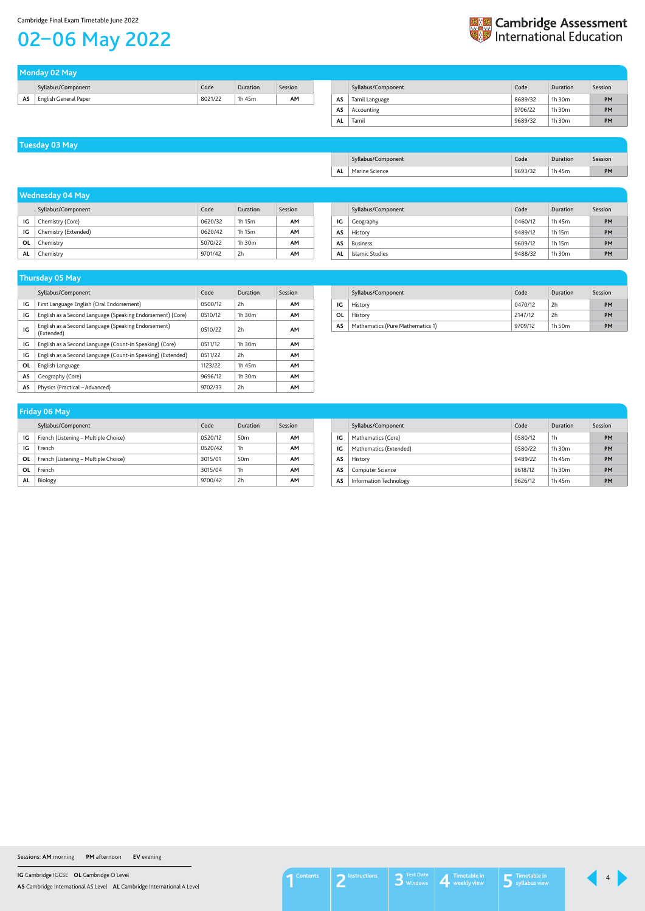**IG** Cambridge IGCSE **OL** Cambridge O Level

**AS** Cambridge International AS Level **AL** Cambridge International A Level

## Cambridge Final Exam Timetable June 2022

## <span id="page-3-0"></span>02–06 May 2022



|    | Monday 02 May         |         |          |         |     |                    |     |
|----|-----------------------|---------|----------|---------|-----|--------------------|-----|
|    | Syllabus/Component    | Code    | Duration | Session |     | Syllabus/Component | Co  |
| AS | English General Paper | 8021/22 | 1h 45m   | AM      | AS. | Tamil Language     | 868 |
|    |                       |         |          |         |     |                    |     |

|    | Syllabus/Component | Code    | Duration    | Session   |
|----|--------------------|---------|-------------|-----------|
| AS | Tamil Language     | 8689/32 | $1h$ 30 $m$ | <b>PM</b> |
| AS | Accounting         | 9706/22 | $1h$ 30 $m$ | <b>PM</b> |
| AL | Tamil              | 9689/32 | $1h$ 30 $m$ | <b>PM</b> |
|    |                    |         |             |           |

## **Tuesday 03 May**

|           | Syllabus/Component | Code    | Duration | Session |
|-----------|--------------------|---------|----------|---------|
| <b>AL</b> | Marine Science     | 9693/32 | 1h 45m   | PM      |

|    | Syllabus/Component   | Code    | Duration | Session |
|----|----------------------|---------|----------|---------|
| ١G | Chemistry (Core)     | 0620/32 | 1h 15m   | AΜ      |
| ١G | Chemistry (Extended) | 0620/42 | 1h 15m   | AΜ      |
| ΟL | Chemistry            | 5070/22 | 1h 30m   | AM      |
| AL | Chemistry            | 9701/42 | 2h       | AM      |

## **Wednesday 04 May**

|    | Syllabus/Component | Code    | Duration    | Session   |
|----|--------------------|---------|-------------|-----------|
| ΙG | Geography          | 0460/12 | 1h 45m      | <b>PM</b> |
| AS | History            | 9489/12 | 1h 15m      | <b>PM</b> |
| AS | <b>Business</b>    | 9609/12 | 1h 15m      | <b>PM</b> |
| AL | Islamic Studies    | 9488/32 | $1h$ 30 $m$ | <b>PM</b> |

|    | <b>Thursday 05 May</b>                                            |         |             |           |
|----|-------------------------------------------------------------------|---------|-------------|-----------|
|    | Syllabus/Component                                                | Code    | Duration    | Session   |
| IG | First Language English (Oral Endorsement)                         | 0500/12 | 2h          | <b>AM</b> |
| IG | English as a Second Language (Speaking Endorsement) (Core)        | 0510/12 | $1h$ 30 $m$ | <b>AM</b> |
| IG | English as a Second Language (Speaking Endorsement)<br>(Extended) | 0510/22 | 2h          | <b>AM</b> |
| IG | English as a Second Language (Count-in Speaking) (Core)           | 0511/12 | $1h$ 30 $m$ | <b>AM</b> |
| IG | English as a Second Language (Count-in Speaking) (Extended)       | 0511/22 | 2h          | <b>AM</b> |
| 0L | English Language                                                  | 1123/22 | 1h 45m      | <b>AM</b> |
| AS | Geography (Core)                                                  | 9696/12 | $1h$ 30 $m$ | <b>AM</b> |
| AS | Physics (Practical – Advanced)                                    | 9702/33 | 2h          | <b>AM</b> |

|    | Syllabus/Component               | Code    | Duration | Session |
|----|----------------------------------|---------|----------|---------|
| ΙG | History                          | 0470/12 | 2h       | PM      |
| 0L | History                          | 2147/12 | 2h       | PM      |
| AS | Mathematics (Pure Mathematics 1) | 9709/12 | 1h 50m   | PM      |

|    | Syllabus/Component                   | Code    | Duration        | Session   |
|----|--------------------------------------|---------|-----------------|-----------|
| IG | French (Listening – Multiple Choice) | 0520/12 | 50 <sub>m</sub> | <b>AM</b> |
| ١G | French                               | 0520/42 | 1h              | AM        |
| ΟL | French (Listening – Multiple Choice) | 3015/01 | 50 <sub>m</sub> | AM        |
| OL | French                               | 3015/04 | 1h              | <b>AM</b> |
| AL | Biology                              | 9700/42 | 2h              | AM        |

## **Friday 06 May**

|    | Syllabus/Component     | Code    | Duration    | Session |
|----|------------------------|---------|-------------|---------|
| IG | Mathematics (Core)     | 0580/12 | 1h          | PM      |
| IG | Mathematics (Extended) | 0580/22 | $1h$ 30 $m$ | PM      |
| AS | History                | 9489/22 | 1h 45m      | PM      |
| AS | Computer Science       | 9618/12 | $1h$ 30 $m$ | PM      |
| AS | Information Technology | 9626/12 | 1h 45m      | PM      |

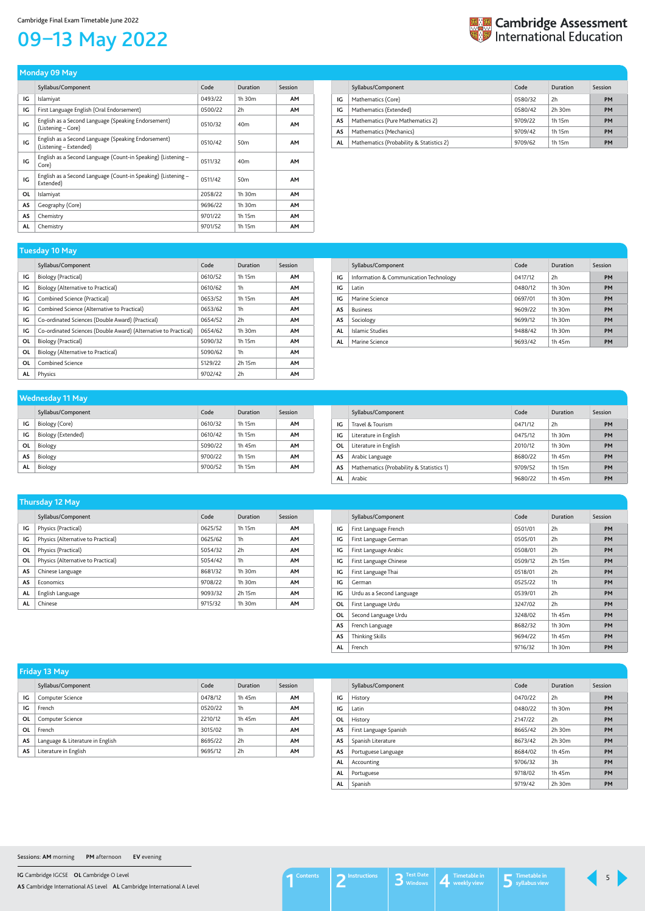**IG** Cambridge IGCSE **OL** Cambridge O Level

**AS** Cambridge International AS Level **AL** Cambridge International A Level

# <span id="page-4-0"></span>09–13 May 2022



|           | Syllabus/Component                                                            | Code    | <b>Duration</b> | Session   |
|-----------|-------------------------------------------------------------------------------|---------|-----------------|-----------|
| IG        | Islamiyat                                                                     | 0493/22 | 1h 30m          | <b>AM</b> |
| IG        | First Language English (Oral Endorsement)                                     | 0500/22 | 2h              | <b>AM</b> |
| IG        | English as a Second Language (Speaking Endorsement)<br>(Listening – Core)     | 0510/32 | 40 <sub>m</sub> | <b>AM</b> |
| IG        | English as a Second Language (Speaking Endorsement)<br>(Listening – Extended) | 0510/42 | 50 <sub>m</sub> | AM        |
| IG        | English as a Second Language (Count-in Speaking) (Listening -<br>Core)        | 0511/32 | 40 <sub>m</sub> | AM        |
| IG        | English as a Second Language (Count-in Speaking) (Listening –<br>Extended)    | 0511/42 | 50 <sub>m</sub> | AM        |
| <b>OL</b> | Islamiyat                                                                     | 2058/22 | 1h 30m          | AM        |
| AS        | Geography (Core)                                                              | 9696/22 | $1h$ 30 $m$     | <b>AM</b> |
| AS        | Chemistry                                                                     | 9701/22 | 1h 15m          | <b>AM</b> |
| AL        | Chemistry                                                                     | 9701/52 | 1h 15m          | AM        |

## **Monday 09 May**

|    | Syllabus/Component                       | Code    | Duration    | Session   |
|----|------------------------------------------|---------|-------------|-----------|
| ΙG | Mathematics (Core)                       | 0580/32 | 2h          | <b>PM</b> |
| IG | Mathematics (Extended)                   | 0580/42 | $2h$ 30 $m$ | <b>PM</b> |
| AS | Mathematics (Pure Mathematics 2)         | 9709/22 | 1h 15m      | <b>PM</b> |
| AS | Mathematics (Mechanics)                  | 9709/42 | 1h 15m      | <b>PM</b> |
| AL | Mathematics (Probability & Statistics 2) | 9709/62 | 1h 15m      | <b>PM</b> |

|    | Syllabus/Component                                              | Code    | Duration       | Session   |
|----|-----------------------------------------------------------------|---------|----------------|-----------|
| IG | Biology (Practical)                                             | 0610/52 | 1h 15m         | <b>AM</b> |
| IG | Biology (Alternative to Practical)                              | 0610/62 | 1h             | <b>AM</b> |
| IG | Combined Science (Practical)                                    | 0653/52 | 1h 15m         | <b>AM</b> |
| IG | Combined Science (Alternative to Practical)                     | 0653/62 | 1 <sub>h</sub> | <b>AM</b> |
| IG | Co-ordinated Sciences (Double Award) (Practical)                | 0654/52 | 2h             | <b>AM</b> |
| IG | Co-ordinated Sciences (Double Award) (Alternative to Practical) | 0654/62 | $1h$ 30 $m$    | <b>AM</b> |
| ΟL | Biology (Practical)                                             | 5090/32 | 1h 15m         | <b>AM</b> |
| ΟL | Biology (Alternative to Practical)                              | 5090/62 | 1 <sub>h</sub> | <b>AM</b> |
| ΟL | Combined Science                                                | 5129/22 | 2h 15m         | <b>AM</b> |
| AL | Physics                                                         | 9702/42 | 2h             | AM        |

## **Tuesday 10 May**

|    | Syllabus/Component                     | Code    | Duration    | Session   |
|----|----------------------------------------|---------|-------------|-----------|
| IG | Information & Communication Technology | 0417/12 | 2h          | <b>PM</b> |
| IG | Latin                                  | 0480/12 | 1h 30m      | <b>PM</b> |
| IG | Marine Science                         | 0697/01 | $1h$ 30 $m$ | <b>PM</b> |
| AS | <b>Business</b>                        | 9609/22 | 1h 30m      | <b>PM</b> |
| AS | Sociology                              | 9699/12 | $1h$ 30 $m$ | <b>PM</b> |
| AL | Islamic Studies                        | 9488/42 | $1h$ 30 $m$ | <b>PM</b> |
| AL | Marine Science                         | 9693/42 | 1h 45m      | <b>PM</b> |

|    | Syllabus/Component | Code    | Duration | Session |
|----|--------------------|---------|----------|---------|
| IG | Biology (Core)     | 0610/32 | 1h 15m   | AM      |
| IG | Biology (Extended) | 0610/42 | 1h 15m   | AM      |
| ΟL | Biology            | 5090/22 | 1h 45m   | AM      |
| AS | Biology            | 9700/22 | 1h 15m   | AM      |
| AL | Biology            | 9700/52 | 1h 15m   | AM      |

## **Wednesday 11 May**

|    | Syllabus/Component                       | Code    | Duration    | Session   |
|----|------------------------------------------|---------|-------------|-----------|
| ΙG | Travel & Tourism                         | 0471/12 | 2h          | <b>PM</b> |
| IG | Literature in English                    | 0475/12 | $1h$ 30 $m$ | <b>PM</b> |
| 0L | Literature in English                    | 2010/12 | $1h$ 30 $m$ | <b>PM</b> |
| AS | Arabic Language                          | 8680/22 | 1h 45m      | <b>PM</b> |
| AS | Mathematics (Probability & Statistics 1) | 9709/52 | 1h 15m      | <b>PM</b> |
| AL | Arabic                                   | 9680/22 | 1h 45m      | <b>PM</b> |

|    | Syllabus/Component                 | Code    | Duration       | Session   |
|----|------------------------------------|---------|----------------|-----------|
| IG | Physics (Practical)                | 0625/52 | 1h 15m         | <b>AM</b> |
| IG | Physics (Alternative to Practical) | 0625/62 | 1 <sub>h</sub> | <b>AM</b> |
| OL | Physics (Practical)                | 5054/32 | 2h             | <b>AM</b> |
| ΟL | Physics (Alternative to Practical) | 5054/42 | 1 <sub>h</sub> | <b>AM</b> |
| AS | Chinese Language                   | 8681/32 | 1h 30m         | <b>AM</b> |
| AS | Economics                          | 9708/22 | 1h 30m         | <b>AM</b> |
| AL | English Language                   | 9093/32 | 2h 15m         | <b>AM</b> |
| AL | Chinese                            | 9715/32 | $1h$ 30 $m$    | <b>AM</b> |

## **Thursday 12 May**

|           | Syllabus/Component        | Code    | Duration | <b>Session</b> |
|-----------|---------------------------|---------|----------|----------------|
| IG        | First Language French     | 0501/01 | 2h       | <b>PM</b>      |
| IG        | First Language German     | 0505/01 | 2h       | <b>PM</b>      |
| IG        | First Language Arabic     | 0508/01 | 2h       | <b>PM</b>      |
| IG        | First Language Chinese    | 0509/12 | 2h 15m   | <b>PM</b>      |
| IG        | First Language Thai       | 0518/01 | 2h       | <b>PM</b>      |
| IG        | German                    | 0525/22 | 1h       | <b>PM</b>      |
| IG        | Urdu as a Second Language | 0539/01 | 2h       | <b>PM</b>      |
| <b>OL</b> | First Language Urdu       | 3247/02 | 2h       | <b>PM</b>      |
| 0L        | Second Language Urdu      | 3248/02 | 1h 45m   | <b>PM</b>      |
| <b>AS</b> | French Language           | 8682/32 | 1h 30m   | <b>PM</b>      |
| <b>AS</b> | <b>Thinking Skills</b>    | 9694/22 | 1h 45m   | <b>PM</b>      |
| AL        | French                    | 9716/32 | 1h 30m   | PM             |

| IG | Computer Science                 | 0478/12 | 1h 45m | AM |
|----|----------------------------------|---------|--------|----|
| IG | French                           | 0520/22 | 1h     | AM |
| ΟL | Computer Science                 | 2210/12 | 1h 45m | AM |
| OL | French                           | 3015/02 | 1h     | AM |
| AS | Language & Literature in English | 8695/22 | 2h     | AM |
| AS | Literature in English            | 9695/12 | 2h     | AM |

| <b>Friday 13 May</b> |      |          |         |                    |      |          |         |
|----------------------|------|----------|---------|--------------------|------|----------|---------|
| Syllabus/Component   | Code | Duration | Session | Syllabus/Component | Code | Duration | Session |

| IG | History                | 0470/22 | 2h          | PM |
|----|------------------------|---------|-------------|----|
| IG | Latin                  | 0480/22 | $1h$ 30 $m$ | PM |
| OL | History                | 2147/22 | 2h          | PM |
| AS | First Language Spanish | 8665/42 | 2h 30m      | PM |
| AS | Spanish Literature     | 8673/42 | $2h$ 30 $m$ | PM |
| AS | Portuguese Language    | 8684/02 | 1h 45m      | PM |
| AL | Accounting             | 9706/32 | 3h          | PM |
| AL | Portuguese             | 9718/02 | 1h 45m      | PM |
| AL | Spanish                | 9719/42 | 2h 30m      | PM |

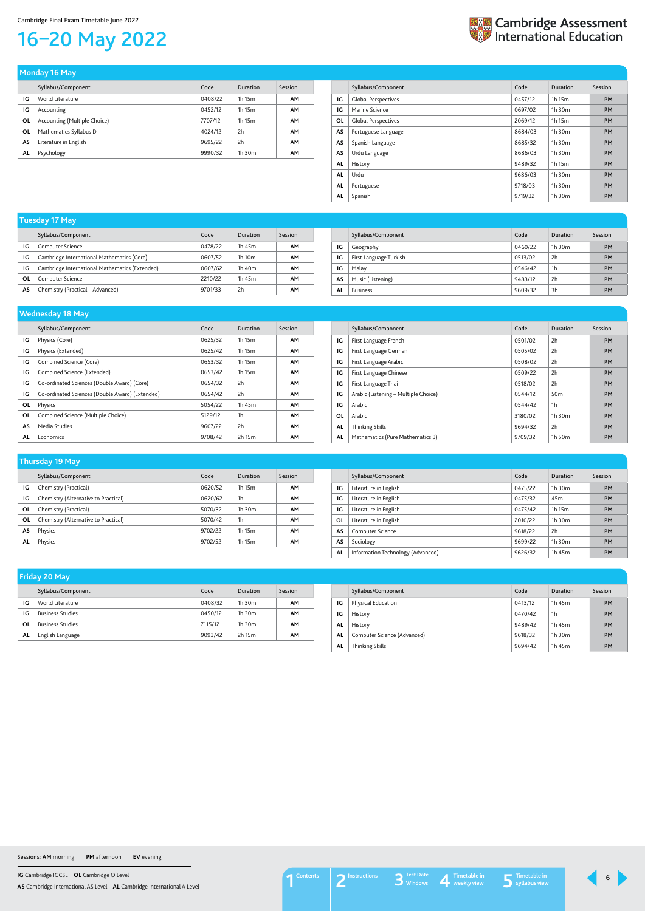**IG** Cambridge IGCSE **OL** Cambridge O Level

**AS** Cambridge International AS Level **AL** Cambridge International A Level

## Cambridge Final Exam Timetable June 2022

## <span id="page-5-0"></span>16–20 May 2022



|    | Syllabus/Component           | Code    | Duration    | Session   |
|----|------------------------------|---------|-------------|-----------|
| IG | World Literature             | 0408/22 | 1h 15m      | <b>AM</b> |
| IG | Accounting                   | 0452/12 | 1h 15m      | AM        |
| OL | Accounting (Multiple Choice) | 7707/12 | 1h 15m      | AM        |
| ΟL | Mathematics Syllabus D       | 4024/12 | 2h          | <b>AM</b> |
| AS | Literature in English        | 9695/22 | 2h          | <b>AM</b> |
| AL | Psychology                   | 9990/32 | $1h$ 30 $m$ | AM        |

**Monday 16 May** 

| Syllabus/Component         | Code    | Duration | Session   |
|----------------------------|---------|----------|-----------|
| <b>Global Perspectives</b> | 0457/12 | 1h 15m   | PM        |
| Marine Science             | 0697/02 | 1h.30m   | PM        |
| <b>Global Perspectives</b> | 2069/12 | 1h 15m   | <b>PM</b> |
| Portuguese Language        | 8684/03 | 1h.30m   | <b>PM</b> |
| Spanish Language           | 8685/32 | 1h.30m   | <b>PM</b> |
| Urdu Language              | 8686/03 | 1h.30m   | <b>PM</b> |
| History                    | 9489/32 | 1h 15m   | <b>PM</b> |
| Urdu                       | 9686/03 | 1h.30m   | <b>PM</b> |
| Portuguese                 | 9718/03 | 1h.30m   | PM        |
| Spanish                    | 9719/32 | 1h 30m   | PM        |
|                            |         |          |           |

|    | Syllabus/Component                             | Code    | Duration           | Session |
|----|------------------------------------------------|---------|--------------------|---------|
| IG | Computer Science                               | 0478/22 | 1h 45m             | AМ      |
| IG | Cambridge International Mathematics (Core)     | 0607/52 | 1h 10 <sub>m</sub> | AМ      |
| IG | Cambridge International Mathematics (Extended) | 0607/62 | 1h 40m             | AМ      |
| ΟL | Computer Science                               | 2210/22 | 1h 45m             | AМ      |
| AS | Chemistry (Practical - Advanced)               | 9701/33 | 2h                 | AΜ      |

## **Tuesday 17 May**

|    | Syllabus/Component     | Code    | Duration       | Session   |
|----|------------------------|---------|----------------|-----------|
| IG | Geography              | 0460/22 | $1h$ 30 $m$    | <b>PM</b> |
| IG | First Language Turkish | 0513/02 | 2h             | <b>PM</b> |
| IG | Malay                  | 0546/42 | 1 <sub>h</sub> | <b>PM</b> |
| AS | Music (Listening)      | 9483/12 | 2h             | <b>PM</b> |
| AL | <b>Business</b>        | 9609/32 | 3h             | <b>PM</b> |
|    |                        |         |                |           |

|    | -<br>-                                          |         |          |           |
|----|-------------------------------------------------|---------|----------|-----------|
|    | Syllabus/Component                              | Code    | Duration | Session   |
| IG | Physics (Core)                                  | 0625/32 | 1h 15m   | <b>AM</b> |
| IG | Physics (Extended)                              | 0625/42 | 1h 15m   | <b>AM</b> |
| IG | Combined Science (Core)                         | 0653/32 | 1h 15m   | <b>AM</b> |
| IG | Combined Science (Extended)                     | 0653/42 | 1h 15m   | <b>AM</b> |
| IG | Co-ordinated Sciences (Double Award) (Core)     | 0654/32 | 2h       | <b>AM</b> |
| IG | Co-ordinated Sciences (Double Award) (Extended) | 0654/42 | 2h       | <b>AM</b> |
| OL | Physics                                         | 5054/22 | 1h 45m   | <b>AM</b> |
| 0L | Combined Science (Multiple Choice)              | 5129/12 | 1h       | <b>AM</b> |
| AS | Media Studies                                   | 9607/22 | 2h       | <b>AM</b> |
| AL | Economics                                       | 9708/42 | 2h 15m   | AM        |

## **Wednesday 18 May**

|           | Syllabus/Component                   | Code    | Duration        | Session   |
|-----------|--------------------------------------|---------|-----------------|-----------|
| IG        | First Language French                | 0501/02 | 2h              | <b>PM</b> |
| IG        | First Language German                | 0505/02 | 2h              | <b>PM</b> |
| IG        | First Language Arabic                | 0508/02 | 2h              | <b>PM</b> |
| IG        | First Language Chinese               | 0509/22 | 2h              | <b>PM</b> |
| IG        | First Language Thai                  | 0518/02 | 2h              | <b>PM</b> |
| IG        | Arabic (Listening - Multiple Choice) | 0544/12 | 50 <sub>m</sub> | <b>PM</b> |
| IG        | Arabic                               | 0544/42 | 1h              | <b>PM</b> |
| <b>OL</b> | Arabic                               | 3180/02 | 1h 30m          | <b>PM</b> |
| AL        | <b>Thinking Skills</b>               | 9694/32 | 2h              | <b>PM</b> |
| AL        | Mathematics (Pure Mathematics 3)     | 9709/32 | 1h 50m          | PM        |

| Thursday 19 May |                                      |         |             |           |  |
|-----------------|--------------------------------------|---------|-------------|-----------|--|
|                 | Syllabus/Component                   | Code    | Duration    | Session   |  |
| IG              | Chemistry (Practical)                | 0620/52 | 1h 15m      | <b>AM</b> |  |
| IG              | Chemistry (Alternative to Practical) | 0620/62 | 1h          | AM        |  |
| ΟL              | Chemistry (Practical)                | 5070/32 | $1h$ 30 $m$ | <b>AM</b> |  |
| ΟL              | Chemistry (Alternative to Practical) | 5070/42 | 1h          | AM        |  |
| AS              | Physics                              | 9702/22 | 1h 15m      | <b>AM</b> |  |
| AL              | Physics                              | 9702/52 | 1h 15m      | AΜ        |  |

|    | Syllabus/Component                | Code    | Duration        | Session   |
|----|-----------------------------------|---------|-----------------|-----------|
| IG | Literature in English             | 0475/22 | 1h.30m          | <b>PM</b> |
| IG | Literature in English             | 0475/32 | 45 <sub>m</sub> | <b>PM</b> |
| IG | Literature in English             | 0475/42 | 1h 15m          | <b>PM</b> |
| 0L | Literature in English             | 2010/22 | 1h.30m          | PM        |
| AS | Computer Science                  | 9618/22 | 2h              | PM        |
| AS | Sociology                         | 9699/22 | 1h.30m          | PM        |
| AL | Information Technology (Advanced) | 9626/32 | 1h 45m          | PM        |

| Friday 20 May |                         |         |             |         |
|---------------|-------------------------|---------|-------------|---------|
|               | Syllabus/Component      | Code    | Duration    | Session |
| IG            | World Literature        | 0408/32 | $1h$ 30 $m$ | AM      |
| IG            | <b>Business Studies</b> | 0450/12 | $1h$ 30 $m$ | AΜ      |
| 0L            | <b>Business Studies</b> | 7115/12 | $1h$ 30 $m$ | AΜ      |
| AL            | English Language        | 9093/42 | 2h 15m      | AΜ      |

|           | Syllabus/Component          | Code    | Duration    | Session   |
|-----------|-----------------------------|---------|-------------|-----------|
| IG        | Physical Education          | 0413/12 | 1h 45m      | <b>PM</b> |
| ΙG        | History                     | 0470/42 | 1h          | <b>PM</b> |
| <b>AL</b> | History                     | 9489/42 | 1h 45m      | <b>PM</b> |
| AL        | Computer Science (Advanced) | 9618/32 | $1h$ 30 $m$ | <b>PM</b> |
| <b>AL</b> | <b>Thinking Skills</b>      | 9694/42 | 1h 45m      | <b>PM</b> |

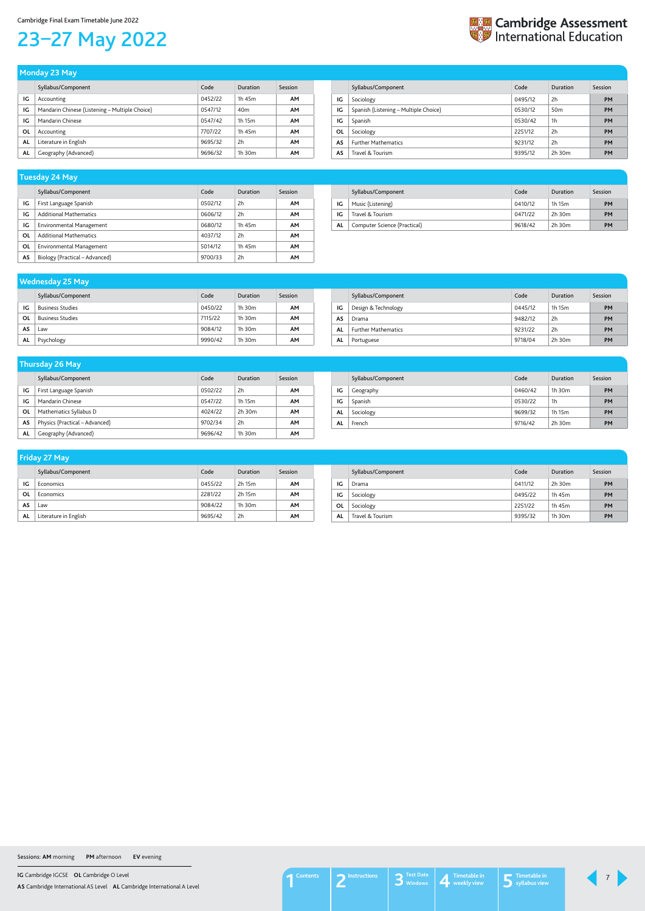**IG** Cambridge IGCSE **OL** Cambridge O Level

**AS** Cambridge International AS Level **AL** Cambridge International A Level

#### Cambridge Final Exam Timetable June 2022

# <span id="page-6-0"></span>23–27 May 2022



|           | --                                             |         |                 |         |
|-----------|------------------------------------------------|---------|-----------------|---------|
|           | Syllabus/Component                             | Code    | Duration        | Session |
| IG        | Accounting                                     | 0452/22 | 1h 45m          | AM      |
| IG        | Mandarin Chinese (Listening - Multiple Choice) | 0547/12 | 40 <sub>m</sub> | AM      |
| IG        | Mandarin Chinese                               | 0547/42 | 1h 15m          | AM      |
| ΟL        | Accounting                                     | 7707/22 | 1h 45m          | AM      |
| <b>AL</b> | Literature in English                          | 9695/32 | 2h              | AΜ      |
| <b>AL</b> | Geography (Advanced)                           | 9696/32 | $1h$ 30 $m$     | AΜ      |

| Monday 23 May |  |
|---------------|--|
|               |  |
|               |  |
|               |  |

|    | Syllabus/Component                    | Code    | Duration        | Session   |
|----|---------------------------------------|---------|-----------------|-----------|
| IG | Sociology                             | 0495/12 | 2h              | <b>PM</b> |
| IG | Spanish (Listening - Multiple Choice) | 0530/12 | 50 <sub>m</sub> | <b>PM</b> |
| IG | Spanish                               | 0530/42 | 1h              | <b>PM</b> |
| 0L | Sociology                             | 2251/12 | 2h              | <b>PM</b> |
| AS | <b>Further Mathematics</b>            | 9231/12 | 2h              | <b>PM</b> |
| AS | Travel & Tourism                      | 9395/12 | 2h 30m          | <b>PM</b> |

## Syllabus/Component **Code** Duration Session **IG** Business Studies **COVER 19 STUDIES COVER 16 STUDIES COVER 16 STUDIES AM OL** Business Studies 7115/22 1h 30m **AM AS** Law 9084/12 1h 30m **AM AL** Psychology 9990/42 1h 30m **AM Wednesday 25 May**

|    | Syllabus/Component              | Code    | Duration | Session   |
|----|---------------------------------|---------|----------|-----------|
| IG | First Language Spanish          | 0502/12 | 2h       | <b>AM</b> |
| IG | <b>Additional Mathematics</b>   | 0606/12 | 2h       | AM        |
| IG | <b>Environmental Management</b> | 0680/12 | 1h 45m   | <b>AM</b> |
| OL | <b>Additional Mathematics</b>   | 4037/12 | 2h       | <b>AM</b> |
| OL | Environmental Management        | 5014/12 | 1h 45m   | <b>AM</b> |
| AS | Biology (Practical – Advanced)  | 9700/33 | 2h       | AΜ        |

## **Tuesday 24 May**

|     | Syllabus/Component           | Code    | Duration | Session   |
|-----|------------------------------|---------|----------|-----------|
| ΙG  | Music (Listening)            | 0410/12 | 1h 15m   | PM        |
| IG  | Travel & Tourism             | 0471/22 | 2h 30m   | <b>PM</b> |
| AL. | Computer Science (Practical) | 9618/42 | 2h 30m   | PM        |

|    | Syllabus/Component         | Code    | Duration    | Session   |
|----|----------------------------|---------|-------------|-----------|
| IG | Design & Technology        | 0445/12 | 1h 15m      | <b>PM</b> |
| AS | Drama                      | 9482/12 | 2h          | <b>PM</b> |
| AL | <b>Further Mathematics</b> | 9231/22 | 2h          | <b>PM</b> |
| AL | Portuguese                 | 9718/04 | $2h$ 30 $m$ | PM        |

| <b>Thursday 26 May</b> |                                |         |             |           |  |  |
|------------------------|--------------------------------|---------|-------------|-----------|--|--|
|                        | Syllabus/Component             | Code    | Duration    | Session   |  |  |
| IG                     | First Language Spanish         | 0502/22 | 2h          | <b>AM</b> |  |  |
| IG                     | Mandarin Chinese               | 0547/22 | 1h 15m      | <b>AM</b> |  |  |
| OL                     | Mathematics Syllabus D         | 4024/22 | $2h$ 30 $m$ | <b>AM</b> |  |  |
| AS                     | Physics (Practical – Advanced) | 9702/34 | 2h          | AΜ        |  |  |
| AL                     | Geography (Advanced)           | 9696/42 | $1h$ 30 $m$ | AΜ        |  |  |

|    | Syllabus/Component | Code    | Duration | Session   |
|----|--------------------|---------|----------|-----------|
| IG | Geography          | 0460/42 | 1h 30m   | <b>PM</b> |
| IG | Spanish            | 0530/22 | 1h       | <b>PM</b> |
| AL | Sociology          | 9699/32 | 1h 15m   | <b>PM</b> |
| AL | French             | 9716/42 | 2h 30m   | <b>PM</b> |

| <b>Friday 27 May</b> |                       |         |             |           |  |  |
|----------------------|-----------------------|---------|-------------|-----------|--|--|
|                      | Syllabus/Component    | Code    | Duration    | Session   |  |  |
| IG                   | Economics             | 0455/22 | 2h 15m      | <b>AM</b> |  |  |
| OL                   | Economics             | 2281/22 | 2h 15m      | AM        |  |  |
| AS                   | Law                   | 9084/22 | $1h$ 30 $m$ | AM        |  |  |
| AL                   | Literature in English | 9695/42 | 2h          | AΜ        |  |  |

|           | Syllabus/Component | Code    | Duration    | Session   |
|-----------|--------------------|---------|-------------|-----------|
| ١G        | Drama              | 0411/12 | $2h$ 30 $m$ | PM        |
| ١G        | Sociology          | 0495/22 | 1h 45m      | <b>PM</b> |
| <b>OL</b> | Sociology          | 2251/22 | 1h 45m      | PM        |
| AL        | Travel & Tourism   | 9395/32 | $1h$ 30 $m$ | PM        |

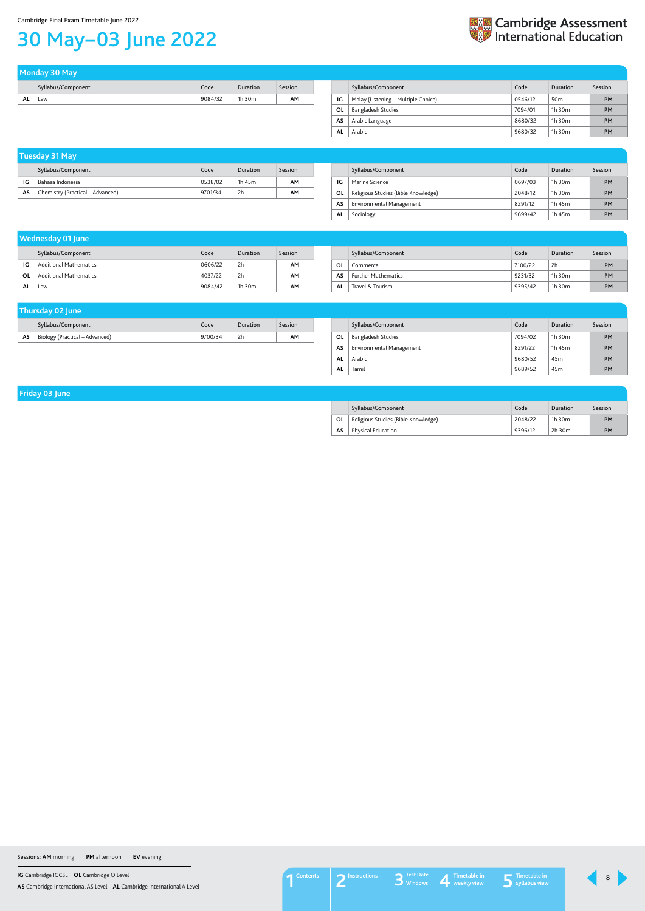**IG** Cambridge IGCSE **OL** Cambridge O Level

**AS** Cambridge International AS Level **AL** Cambridge International A Level

# <span id="page-7-0"></span>30 May–03 June 2022



| Tuesday 31 May |                                  |         |          |         |  |  |
|----------------|----------------------------------|---------|----------|---------|--|--|
|                | Syllabus/Component               | Code    | Duration | Session |  |  |
| IG             | Bahasa Indonesia                 | 0538/02 | 1h 45m   | AΜ      |  |  |
| AS             | Chemistry (Practical – Advanced) | 9701/34 | 2h       | AМ      |  |  |

|     | Syllabus/Component                  | Code    | Duration    | Session   |
|-----|-------------------------------------|---------|-------------|-----------|
| IG  | Marine Science                      | 0697/03 | $1h$ 30 $m$ | <b>PM</b> |
| OL  | Religious Studies (Bible Knowledge) | 2048/12 | $1h$ 30 $m$ | <b>PM</b> |
| AS  | Environmental Management            | 8291/12 | 1h 45m      | <b>PM</b> |
| AL. | Sociology                           | 9699/42 | 1h 45m      | <b>PM</b> |

| Thursday 02 June |                                |         |          |         |  |     |                |
|------------------|--------------------------------|---------|----------|---------|--|-----|----------------|
|                  | Syllabus/Component             | Code    | Duration | Session |  |     | Syllabus/Comp  |
| AS               | Biology (Practical – Advanced) | 9700/34 | 2h       | AΜ      |  | OL. | Bangladesh Stu |

|    | Syllabus/Component        | Code    | Duration        | Session   |
|----|---------------------------|---------|-----------------|-----------|
| 0L | <b>Bangladesh Studies</b> | 7094/02 | $1h$ 30 $m$     | <b>PM</b> |
| AS | Environmental Management  | 8291/22 | 1h 45m          | <b>PM</b> |
| AL | Arabic                    | 9680/52 | 45 <sub>m</sub> | <b>PM</b> |
| AL | Tamil                     | 9689/52 | 45 <sub>m</sub> | <b>PM</b> |

**Friday 03 June** 

|    | Syllabus/Component                  | Code    | Duration    | Session   |
|----|-------------------------------------|---------|-------------|-----------|
| OL | Religious Studies (Bible Knowledge) | 2048/22 | $1h$ 30 $m$ | <b>PM</b> |
| AS | <b>Physical Education</b>           | 9396/12 | $2h$ 30 $m$ | PM        |

| Monday 30 May      |  |  |         |          |         |  |  |
|--------------------|--|--|---------|----------|---------|--|--|
| Syllabus/Component |  |  | Code    | Duration | Session |  |  |
| AL<br>Law          |  |  | 9084/32 | 1h 30m   | AM      |  |  |

|    | Syllabus/Component                  | Code    | Duration        | Session   |
|----|-------------------------------------|---------|-----------------|-----------|
| IG | Malay (Listening - Multiple Choice) | 0546/12 | 50 <sub>m</sub> | <b>PM</b> |
| 0L | Bangladesh Studies                  | 7094/01 | $1h$ 30 $m$     | <b>PM</b> |
| AS | Arabic Language                     | 8680/32 | $1h$ 30 $m$     | <b>PM</b> |
| AL | Arabic                              | 9680/32 | $1h$ 30 $m$     | <b>PM</b> |

|           |                               |         | <b>Wednesday 01 June</b> |           |  |           |                            |         |          |           |
|-----------|-------------------------------|---------|--------------------------|-----------|--|-----------|----------------------------|---------|----------|-----------|
|           | Syllabus/Component            | Code    | <b>Duration</b>          | Session   |  |           | Syllabus/Component         | Code    | Duration | Session   |
| IG        | <b>Additional Mathematics</b> | 0606/22 | 2h                       | <b>AM</b> |  | <b>OL</b> | Commerce                   | 7100/22 | 2h       | PM        |
| OL        | <b>Additional Mathematics</b> | 4037/22 | 2h                       | AM        |  | AS        | <b>Further Mathematics</b> | 9231/32 | 1h 30m   | <b>PM</b> |
| AL<br>Law |                               | 9084/42 | 1h 30m                   | AM        |  | <b>AL</b> | Travel & Tourism           | 9395/42 | 1h 30m   | <b>PM</b> |

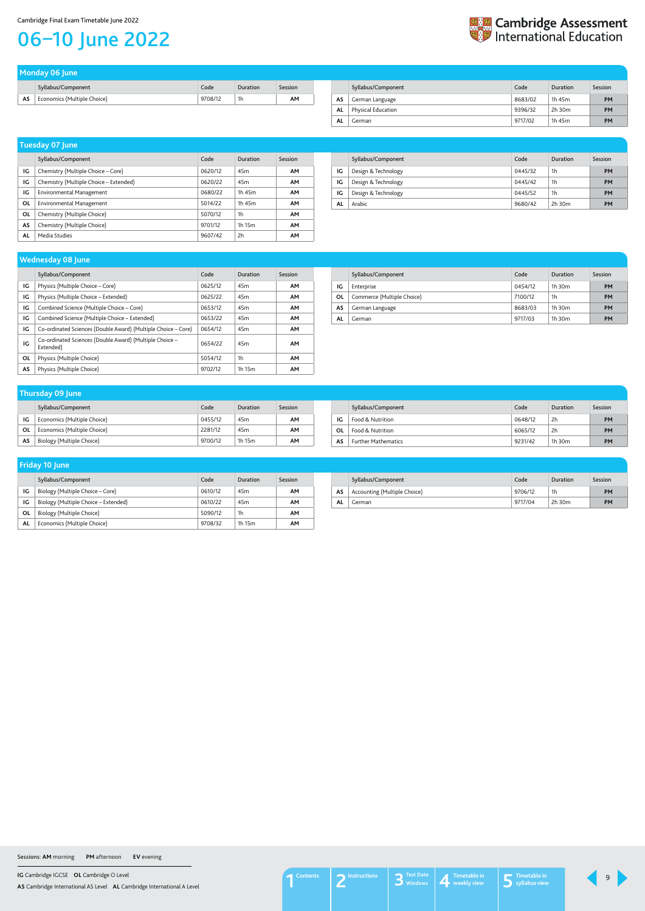**IG** Cambridge IGCSE **OL** Cambridge O Level

**AS** Cambridge International AS Level **AL** Cambridge International A Level

## Cambridge Final Exam Timetable June 2022

## <span id="page-8-0"></span>06–10 June 2022

| Monday 06 June |                             |         |          |         |  |  |
|----------------|-----------------------------|---------|----------|---------|--|--|
|                | Syllabus/Component          | Code    | Duration | Session |  |  |
| AS             | Economics (Multiple Choice) | 9708/12 | 1h       | AΜ      |  |  |

|    | Syllabus/Component | Code    | Duration | Session   |
|----|--------------------|---------|----------|-----------|
| AS | German Language    | 8683/02 | 1h 45m   | <b>PM</b> |
| AL | Physical Education | 9396/32 | 2h 30m   | PM        |
| AL | German             | 9717/02 | 1h 45m   | PM        |

**En Cambridge Assessment**<br>
International Education

|    | Syllabus/Component                     | Code    | Duration        | Session   |
|----|----------------------------------------|---------|-----------------|-----------|
| IG | Chemistry (Multiple Choice – Core)     | 0620/12 | 45 <sub>m</sub> | <b>AM</b> |
| IG | Chemistry (Multiple Choice – Extended) | 0620/22 | 45 <sub>m</sub> | AΜ        |
| IG | <b>Environmental Management</b>        | 0680/22 | 1h 45m          | <b>AM</b> |
| 0L | <b>Environmental Management</b>        | 5014/22 | 1h 45m          | AM        |
| ΟL | Chemistry (Multiple Choice)            | 5070/12 | 1h              | AΜ        |
| AS | Chemistry (Multiple Choice)            | 9701/12 | 1h 15m          | AM        |
| AL | Media Studies                          | 9607/42 | 2h              | AΜ        |

## **Tuesday 07 June**

|    | Syllabus/Component  | Code    | Duration | Session |
|----|---------------------|---------|----------|---------|
| IG | Design & Technology | 0445/32 | 1h       | PM      |
| IG | Design & Technology | 0445/42 | 1h       | PM      |
| IG | Design & Technology | 0445/52 | 1h       | PM      |
| AL | Arabic              | 9680/42 | 2h 30m   | PM      |

|    | Syllabus/Component          | Code    | Duration        | Session |
|----|-----------------------------|---------|-----------------|---------|
| ١G | Economics (Multiple Choice) | 0455/12 | 45 <sub>m</sub> | AΜ      |
| OL | Economics (Multiple Choice) | 2281/12 | 45 <sub>m</sub> | AМ      |
| AS | Biology (Multiple Choice)   | 9700/12 | 1h 15m          | AΜ      |

## **Thursday 09 June**

|           | Syllabus/Component         | Code    | Duration     | Session |
|-----------|----------------------------|---------|--------------|---------|
| ΙG        | Food & Nutrition           | 0648/12 | 2h           | PM      |
| 0L        | Food & Nutrition           | 6065/12 | 2h           | PM      |
| <b>AS</b> | <b>Further Mathematics</b> | 9231/42 | 1 $h$ 30 $m$ | PM      |

| <b>Wednesday 08 June</b> |                                                                      |         |                 |           |  |  |  |
|--------------------------|----------------------------------------------------------------------|---------|-----------------|-----------|--|--|--|
|                          | Syllabus/Component                                                   | Code    | Duration        | Session   |  |  |  |
| IG                       | Physics (Multiple Choice – Core)                                     | 0625/12 | 45 <sub>m</sub> | <b>AM</b> |  |  |  |
| IG                       | Physics (Multiple Choice – Extended)                                 | 0625/22 | 45m             | <b>AM</b> |  |  |  |
| IG                       | Combined Science (Multiple Choice - Core)                            | 0653/12 | 45 <sub>m</sub> | <b>AM</b> |  |  |  |
| IG                       | Combined Science (Multiple Choice – Extended)                        | 0653/22 | 45 <sub>m</sub> | <b>AM</b> |  |  |  |
| IG                       | Co-ordinated Sciences (Double Award) (Multiple Choice - Core)        | 0654/12 | 45m             | <b>AM</b> |  |  |  |
| IG                       | Co-ordinated Sciences (Double Award) (Multiple Choice -<br>Extended) | 0654/22 | 45m             | <b>AM</b> |  |  |  |
| OL                       | Physics (Multiple Choice)                                            | 5054/12 | 1h              | <b>AM</b> |  |  |  |
| AS                       | Physics (Multiple Choice)                                            | 9702/12 | 1h 15m          | <b>AM</b> |  |  |  |

|    | Syllabus/Component         | Code    | Duration    | Session   |
|----|----------------------------|---------|-------------|-----------|
| IG | Enterprise                 | 0454/12 | $1h$ 30 $m$ | <b>PM</b> |
| 0L | Commerce (Multiple Choice) | 7100/12 | 1h          | <b>PM</b> |
| AS | German Language            | 8683/03 | $1h$ 30 $m$ | <b>PM</b> |
| AL | German                     | 9717/03 | $1h$ 30 $m$ | PM        |

| Friday 10 June |                                      |         |                 |         |  |  |
|----------------|--------------------------------------|---------|-----------------|---------|--|--|
|                | Syllabus/Component                   | Code    | Duration        | Session |  |  |
| IG             | Biology (Multiple Choice – Core)     | 0610/12 | 45 <sub>m</sub> | AΜ      |  |  |
| IG             | Biology (Multiple Choice – Extended) | 0610/22 | 45 <sub>m</sub> | AМ      |  |  |
| ΟL             | Biology (Multiple Choice)            | 5090/12 | 1h              | AМ      |  |  |
| AL             | Economics (Multiple Choice)          | 9708/32 | 1h 15m          | AΜ      |  |  |

|    | Syllabus/Component           | Code    | Duration    | Session |
|----|------------------------------|---------|-------------|---------|
| AS | Accounting (Multiple Choice) | 9706/12 | 1h          | PM      |
| AL | German                       | 9717/04 | $2h$ 30 $m$ | PM      |

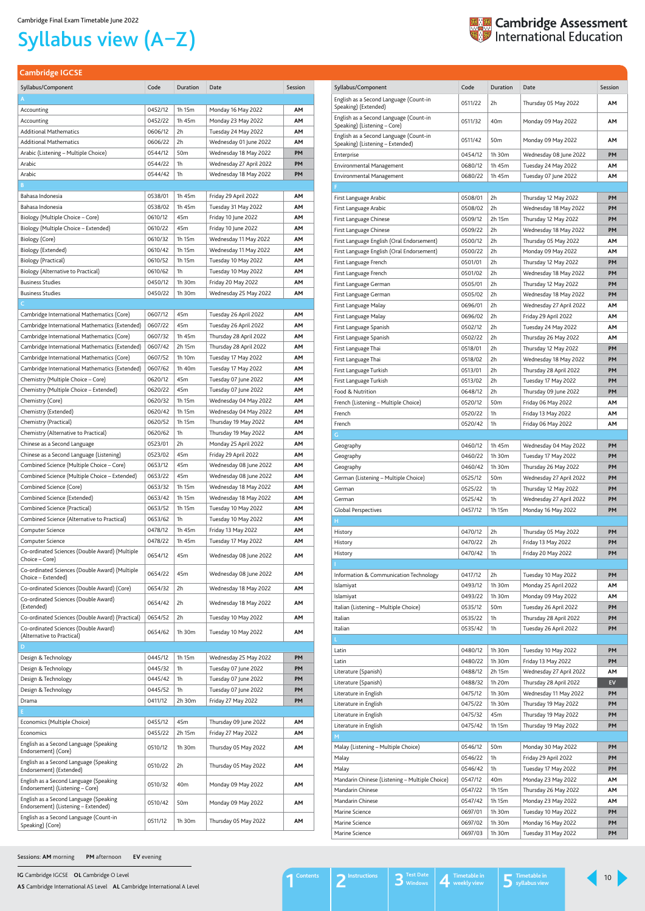**IG** Cambridge IGCSE **OL** Cambridge O Level

**AS** Cambridge International AS Level **AL** Cambridge International A Level

<span id="page-9-1"></span>**Cambridge IGCSE**

| Syllabus/Component                                                     | Code               | Duration         | Date                                            | Session   |
|------------------------------------------------------------------------|--------------------|------------------|-------------------------------------------------|-----------|
| English as a Second Language (Count-in                                 | 0511/22            | 2h               | Thursday 05 May 2022                            | ΑМ        |
| Speaking) (Extended)                                                   |                    |                  |                                                 |           |
| English as a Second Language (Count-in<br>Speaking) (Listening - Core) | 0511/32            | 40 <sub>m</sub>  | Monday 09 May 2022                              | AΜ        |
| English as a Second Language (Count-in                                 | 0511/42            | 50 <sub>m</sub>  | Monday 09 May 2022                              | AΜ        |
| Speaking) (Listening - Extended)                                       |                    |                  |                                                 |           |
| Enterprise                                                             | 0454/12            | 1h 30m           | Wednesday 08 June 2022                          | PM        |
| Environmental Management                                               | 0680/12            | 1h 45m           | Tuesday 24 May 2022                             | AΜ        |
| Environmental Management                                               | 0680/22            | 1h 45m           | Tuesday 07 June 2022                            | AΜ        |
| First Language Arabic                                                  | 0508/01            | 2h               | Thursday 12 May 2022                            | PM        |
| First Language Arabic                                                  | 0508/02            | 2h               | Wednesday 18 May 2022                           | PM        |
| First Language Chinese                                                 | 0509/12            | 2h 15m           | Thursday 12 May 2022                            | PM        |
| First Language Chinese                                                 | 0509/22            | 2h               | Wednesday 18 May 2022                           | PМ        |
| First Language English (Oral Endorsement)                              | 0500/12            | 2h               | Thursday 05 May 2022                            | ΑМ        |
| First Language English (Oral Endorsement)                              | 0500/22            | 2h               | Monday 09 May 2022                              | ΑМ        |
| First Language French                                                  | 0501/01            | 2h               | Thursday 12 May 2022                            | PM        |
| First Language French                                                  | 0501/02            | 2h               | Wednesday 18 May 2022                           | PM        |
| First Language German                                                  | 0505/01            | 2h               | Thursday 12 May 2022                            | PM        |
| First Language German                                                  | 0505/02            | 2h               | Wednesday 18 May 2022                           | PМ        |
| First Language Malay                                                   | 0696/01            | 2h               | Wednesday 27 April 2022                         | AΜ        |
| First Language Malay                                                   | 0696/02            | 2h               | Friday 29 April 2022                            | ΑМ        |
| First Language Spanish                                                 | 0502/12            | 2h               | Tuesday 24 May 2022                             | ΑМ        |
| First Language Spanish                                                 | 0502/22            | 2h               | Thursday 26 May 2022                            | ΑМ        |
| First Language Thai                                                    | 0518/01<br>0518/02 | 2h<br>2h         | Thursday 12 May 2022                            | PM<br>PM  |
| First Language Thai<br>First Language Turkish                          | 0513/01            | 2h               | Wednesday 18 May 2022<br>Thursday 28 April 2022 | PM        |
| First Language Turkish                                                 | 0513/02            | 2h               | Tuesday 17 May 2022                             | PМ        |
| Food & Nutrition                                                       | 0648/12            | 2h               | Thursday 09 June 2022                           | PМ        |
| French (Listening – Multiple Choice)                                   | 0520/12            | 50m              | Friday 06 May 2022                              | АМ        |
| French                                                                 | 0520/22            | 1h               | Friday 13 May 2022                              | АМ        |
| French                                                                 | 0520/42            | 1h               | Friday 06 May 2022                              | AΜ        |
| G                                                                      |                    |                  |                                                 |           |
| Geography                                                              | 0460/12            | 1h 45m           | Wednesday 04 May 2022                           | PM        |
| Geography                                                              | 0460/22            | 1h 30m           | Tuesday 17 May 2022                             | PМ        |
| Geography                                                              | 0460/42            | $1h$ 30 $m$      | Thursday 26 May 2022                            | PМ        |
| German (Listening - Multiple Choice)                                   | 0525/12            | 50 <sub>m</sub>  | Wednesday 27 April 2022                         | PМ        |
| German                                                                 | 0525/22            | 1h               | Thursday 12 May 2022                            | PМ        |
| German                                                                 | 0525/42            | 1h               | Wednesday 27 April 2022                         | PM        |
| <b>Global Perspectives</b>                                             | 0457/12            | 1h 15m           | Monday 16 May 2022                              | PМ        |
| н                                                                      | 0470/12            | 2h               |                                                 | PМ        |
| History<br>History                                                     | 0470/22            | 2h               | Thursday 05 May 2022<br>Friday 13 May 2022      | PМ        |
| History                                                                | 0470/42            | 1h               | Friday 20 May 2022                              | PM        |
|                                                                        |                    |                  |                                                 |           |
| Information & Communication Technology                                 | 0417/12            | 2h               | Tuesday 10 May 2022                             | PM        |
| Islamiyat                                                              | 0493/12            | 1h 30m           | Monday 25 April 2022                            | ΑМ        |
| Islamiyat                                                              | 0493/22            | $1h$ 30 $m$      | Monday 09 May 2022                              | АМ        |
| Italian (Listening - Multiple Choice)                                  | 0535/12            | 50 <sub>m</sub>  | Tuesday 26 April 2022                           | PM        |
| Italian                                                                | 0535/22            | 1h               | Thursday 28 April 2022                          | PМ        |
| Italian                                                                | 0535/42            | 1h               | Tuesday 26 April 2022                           | PM        |
|                                                                        |                    |                  |                                                 |           |
| Latin                                                                  | 0480/12            | 1h 30m           | Tuesday 10 May 2022                             | PМ        |
| Latin                                                                  | 0480/22            | 1h 30m           | Friday 13 May 2022                              | PМ        |
| Literature (Spanish)                                                   | 0488/12            | 2h 15m           | Wednesday 27 April 2022                         | ΑМ        |
| Literature (Spanish)<br>Literature in English                          | 0488/32<br>0475/12 | 1h 20m<br>1h 30m | Thursday 28 April 2022<br>Wednesday 11 May 2022 | EV<br>PМ  |
| Literature in English                                                  | 0475/22            | $1h$ 30 $m$      | Thursday 19 May 2022                            | PМ        |
| Literature in English                                                  | 0475/32            | 45m              | Thursday 19 May 2022                            | PМ        |
| Literature in English                                                  | 0475/42            | 1h 15m           | Thursday 19 May 2022                            | PM        |
| M                                                                      |                    |                  |                                                 |           |
| Malay (Listening - Multiple Choice)                                    | 0546/12            | 50 <sub>m</sub>  | Monday 30 May 2022                              | <b>PM</b> |
| Malay                                                                  | 0546/22            | 1h               | Friday 29 April 2022                            | PM        |
| Malay                                                                  | 0546/42            | 1h               | Tuesday 17 May 2022                             | PM        |
| Mandarin Chinese (Listening - Multiple Choice)                         | 0547/12            | 40m              | Monday 23 May 2022                              | АМ        |
| Mandarin Chinese                                                       | 0547/22            | 1h 15m           | Thursday 26 May 2022                            | AΜ        |
| Mandarin Chinese                                                       | 0547/42            | 1h 15m           | Monday 23 May 2022                              | АМ        |
| Marine Science                                                         | 0697/01            | 1h 30m           | Tuesday 10 May 2022                             | PM        |
| Marine Science                                                         | 0697/02            | 1h 30m           | Monday 16 May 2022                              | PM        |
| Marine Science                                                         | 0697/03            | 1h 30m           | Tuesday 31 May 2022                             | PM        |

| Syllabus/Component                                                            | Code    | <b>Duration</b> | Date                    | Session |
|-------------------------------------------------------------------------------|---------|-----------------|-------------------------|---------|
| A                                                                             |         |                 |                         |         |
| Accounting                                                                    | 0452/12 | 1h 15m          | Monday 16 May 2022      | ΑМ      |
| Accounting                                                                    | 0452/22 | 1h 45m          | Monday 23 May 2022      | ΑМ      |
| <b>Additional Mathematics</b>                                                 | 0606/12 | 2h              | Tuesday 24 May 2022     | АΜ      |
| <b>Additional Mathematics</b>                                                 | 0606/22 | 2h              | Wednesday 01 June 2022  | AΜ      |
| Arabic (Listening – Multiple Choice)                                          | 0544/12 | 50 <sub>m</sub> | Wednesday 18 May 2022   | PM      |
| Arabic                                                                        | 0544/22 | 1h              | Wednesday 27 April 2022 | PМ      |
| Arabic                                                                        | 0544/42 | 1h              | Wednesday 18 May 2022   | PМ      |
| B.                                                                            |         |                 |                         |         |
| Bahasa Indonesia                                                              | 0538/01 | 1h 45m          | Friday 29 April 2022    | АΜ      |
| Bahasa Indonesia                                                              | 0538/02 | 1h 45m          | Tuesday 31 May 2022     | AΜ      |
| Biology (Multiple Choice – Core)                                              | 0610/12 | 45m             | Friday 10 June 2022     | ΑМ      |
| Biology (Multiple Choice – Extended)                                          | 0610/22 | 45m             | Friday 10 June 2022     | ΑМ      |
| Biology (Core)                                                                | 0610/32 | 1h 15m          | Wednesday 11 May 2022   | ΑМ      |
| Biology (Extended)                                                            | 0610/42 | 1h 15m          | Wednesday 11 May 2022   | АΜ      |
| Biology (Practical)                                                           | 0610/52 | 1h 15m          | Tuesday 10 May 2022     | АΜ      |
| Biology (Alternative to Practical)                                            | 0610/62 | 1h              | Tuesday 10 May 2022     | ΑМ      |
| <b>Business Studies</b>                                                       | 0450/12 | 1h 30m          | Friday 20 May 2022      | ΑМ      |
| <b>Business Studies</b>                                                       | 0450/22 | 1h 30m          | Wednesday 25 May 2022   | ΑМ      |
| C.                                                                            |         |                 |                         |         |
| Cambridge International Mathematics (Core)                                    | 0607/12 | 45m             | Tuesday 26 April 2022   | ΑМ      |
| Cambridge International Mathematics (Extended)                                | 0607/22 | 45m             | Tuesday 26 April 2022   | ΑМ      |
| Cambridge International Mathematics (Core)                                    | 0607/32 | 1h 45m          | Thursday 28 April 2022  | ΑМ      |
| Cambridge International Mathematics (Extended)                                | 0607/42 | 2h 15m          | Thursday 28 April 2022  | ΑМ      |
| Cambridge International Mathematics (Core)                                    | 0607/52 | 1h 10m          | Tuesday 17 May 2022     | ΑМ      |
| Cambridge International Mathematics (Extended)                                | 0607/62 | 1h 40m          | Tuesday 17 May 2022     | ΑМ      |
| Chemistry (Multiple Choice – Core)                                            | 0620/12 | 45m             | Tuesday 07 June 2022    | ΑМ      |
| Chemistry (Multiple Choice - Extended)                                        | 0620/22 | 45m             | Tuesday 07 June 2022    | ΑМ      |
| Chemistry (Core)                                                              | 0620/32 | 1h 15m          | Wednesday 04 May 2022   | ΑМ      |
| Chemistry (Extended)                                                          | 0620/42 | 1h 15m          | Wednesday 04 May 2022   | ΑМ      |
| Chemistry (Practical)                                                         | 0620/52 | 1h 15m          | Thursday 19 May 2022    | ΑМ      |
| Chemistry (Alternative to Practical)                                          | 0620/62 | 1h              | Thursday 19 May 2022    | AΜ      |
| Chinese as a Second Language                                                  | 0523/01 | 2h              | Monday 25 April 2022    | AΜ      |
| Chinese as a Second Language (Listening)                                      | 0523/02 | 45m             | Friday 29 April 2022    | ΑМ      |
| Combined Science (Multiple Choice - Core)                                     | 0653/12 | 45m             | Wednesday 08 June 2022  | ΑМ      |
| Combined Science (Multiple Choice - Extended)                                 | 0653/22 | 45m             | Wednesday 08 June 2022  | AΜ      |
| Combined Science (Core)                                                       | 0653/32 | 1h 15m          | Wednesday 18 May 2022   | ΑМ      |
| Combined Science (Extended)                                                   | 0653/42 | 1h 15m          | Wednesday 18 May 2022   | ΑМ      |
| Combined Science (Practical)                                                  | 0653/52 | 1h 15m          | Tuesday 10 May 2022     | AΜ      |
| Combined Science (Alternative to Practical)                                   | 0653/62 | 1h              | Tuesday 10 May 2022     | ΑМ      |
| Computer Science                                                              | 0478/12 | 1h 45m          | Friday 13 May 2022      | ΑМ      |
| Computer Science                                                              | 0478/22 | 1h 45m          | Tuesday 17 May 2022     | ΑМ      |
| Co-ordinated Sciences (Double Award) (Multiple<br>Choice – Core)              | 0654/12 | 45m             | Wednesday 08 June 2022  | ΑМ      |
| Co-ordinated Sciences (Double Award) (Multiple<br>Choice - Extended)          | 0654/22 | 45m             | Wednesday 08 June 2022  | ΑМ      |
| Co-ordinated Sciences (Double Award) (Core)                                   | 0654/32 | 2h              | Wednesday 18 May 2022   | ΑМ      |
| Co-ordinated Sciences (Double Award)<br>(Extended)                            | 0654/42 | 2h              | Wednesday 18 May 2022   | ΑМ      |
| Co-ordinated Sciences (Double Award) (Practical)                              | 0654/52 | 2h              | Tuesday 10 May 2022     | ΑМ      |
| Co-ordinated Sciences (Double Award)<br>(Alternative to Practical)            | 0654/62 | 1h 30m          | Tuesday 10 May 2022     | ΑМ      |
| D                                                                             |         |                 |                         |         |
| Design & Technology                                                           | 0445/12 | 1h 15m          | Wednesday 25 May 2022   | PM      |
| Design & Technology                                                           | 0445/32 | 1h              | Tuesday 07 June 2022    | PM      |
| Design & Technology                                                           | 0445/42 | 1h              | Tuesday 07 June 2022    | PM      |
| Design & Technology                                                           | 0445/52 | 1h              | Tuesday 07 June 2022    | PM      |
| Drama                                                                         | 0411/12 | 2h 30m          | Friday 27 May 2022      | PM      |
| E.                                                                            |         |                 |                         |         |
| Economics (Multiple Choice)                                                   | 0455/12 | 45m             | Thursday 09 June 2022   | АM      |
| Economics                                                                     | 0455/22 | 2h 15m          | Friday 27 May 2022      | AΜ      |
| English as a Second Language (Speaking<br>Endorsement) (Core)                 | 0510/12 | 1h 30m          | Thursday 05 May 2022    | ΑМ      |
| English as a Second Language (Speaking<br>Endorsement) (Extended)             | 0510/22 | 2h              | Thursday 05 May 2022    | AΜ      |
| English as a Second Language (Speaking<br>Endorsement) (Listening - Core)     | 0510/32 | 40m             | Monday 09 May 2022      | ΑМ      |
| English as a Second Language (Speaking<br>Endorsement) (Listening - Extended) | 0510/42 | 50 <sub>m</sub> | Monday 09 May 2022      | ΑМ      |
| English as a Second Language (Count-in<br>Speaking) (Core)                    | 0511/12 | 1h 30m          | Thursday 05 May 2022    | ΑМ      |

# <span id="page-9-0"></span>Syllabus view (A–Z)



10



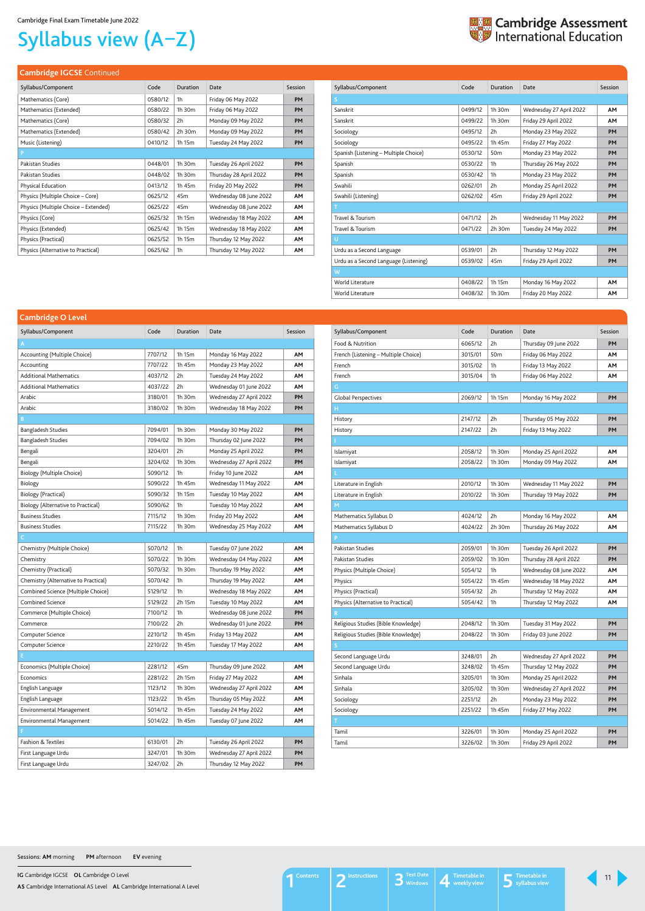**IG** Cambridge IGCSE **OL** Cambridge O Level

**AS** Cambridge International AS Level **AL** Cambridge International A Level

# Syllabus view (A–Z)



## **Cambridge IGCSE** Continued

| Syllabus/Component                   | Code    | Duration        | Date                   | Session   |
|--------------------------------------|---------|-----------------|------------------------|-----------|
| Mathematics (Core)                   | 0580/12 | 1h              | Friday 06 May 2022     | <b>PM</b> |
| Mathematics (Extended)               | 0580/22 | 1h 30m          | Friday 06 May 2022     | <b>PM</b> |
| Mathematics (Core)                   | 0580/32 | 2h              | Monday 09 May 2022     | <b>PM</b> |
| Mathematics (Extended)               | 0580/42 | 2h 30m          | Monday 09 May 2022     | <b>PM</b> |
| Music (Listening)                    | 0410/12 | 1h 15m          | Tuesday 24 May 2022    | <b>PM</b> |
| P                                    |         |                 |                        |           |
| Pakistan Studies                     | 0448/01 | 1h 30m          | Tuesday 26 April 2022  | PM        |
| Pakistan Studies                     | 0448/02 | 1h 30m          | Thursday 28 April 2022 | <b>PM</b> |
| Physical Education                   | 0413/12 | 1h 45m          | Friday 20 May 2022     | <b>PM</b> |
| Physics (Multiple Choice – Core)     | 0625/12 | 45 <sub>m</sub> | Wednesday 08 June 2022 | <b>AM</b> |
| Physics (Multiple Choice – Extended) | 0625/22 | 45 <sub>m</sub> | Wednesday 08 June 2022 | <b>AM</b> |
| Physics (Core)                       | 0625/32 | 1h 15m          | Wednesday 18 May 2022  | <b>AM</b> |
| Physics (Extended)                   | 0625/42 | 1h 15m          | Wednesday 18 May 2022  | <b>AM</b> |
| Physics (Practical)                  | 0625/52 | 1h 15m          | Thursday 12 May 2022   | <b>AM</b> |
| Physics (Alternative to Practical)   | 0625/62 | 1h              | Thursday 12 May 2022   | AΜ        |

| Syllabus/Component                    | Code    | Duration        | Date                    | Session   |
|---------------------------------------|---------|-----------------|-------------------------|-----------|
| S                                     |         |                 |                         |           |
| Sanskrit                              | 0499/12 | 1h 30m          | Wednesday 27 April 2022 | <b>AM</b> |
| Sanskrit                              | 0499/22 | 1h 30m          | Friday 29 April 2022    | <b>AM</b> |
| Sociology                             | 0495/12 | 2h              | Monday 23 May 2022      | PM        |
| Sociology                             | 0495/22 | 1h 45m          | Friday 27 May 2022      | PM        |
| Spanish (Listening - Multiple Choice) | 0530/12 | 50 <sub>m</sub> | Monday 23 May 2022      | PM        |
| Spanish                               | 0530/22 | 1h              | Thursday 26 May 2022    | PM        |
| Spanish                               | 0530/42 | 1h              | Monday 23 May 2022      | PM        |
| Swahili                               | 0262/01 | 2h              | Monday 25 April 2022    | <b>PM</b> |
| Swahili (Listening)                   | 0262/02 | 45m             | Friday 29 April 2022    | PM        |
| Τ                                     |         |                 |                         |           |
| Travel & Tourism                      | 0471/12 | 2h              | Wednesday 11 May 2022   | PM        |
| Travel & Tourism                      | 0471/22 | 2h 30m          | Tuesday 24 May 2022     | PM        |
| U                                     |         |                 |                         |           |
| Urdu as a Second Language             | 0539/01 | 2h              | Thursday 12 May 2022    | PM        |
| Urdu as a Second Language (Listening) | 0539/02 | 45 <sub>m</sub> | Friday 29 April 2022    | PM        |
| W                                     |         |                 |                         |           |
| World Literature                      | 0408/22 | 1h 15m          | Monday 16 May 2022      | <b>AM</b> |
| World Literature                      | 0408/32 | 1h 30m          | Friday 20 May 2022      | <b>AM</b> |

| Syllabus/Component                   | Code    | Duration        | Date                    | Session   |
|--------------------------------------|---------|-----------------|-------------------------|-----------|
| Food & Nutrition                     | 6065/12 | 2h              | Thursday 09 June 2022   | PM        |
| French (Listening - Multiple Choice) | 3015/01 | 50 <sub>m</sub> | Friday 06 May 2022      | ΑМ        |
| French                               | 3015/02 | 1h              | Friday 13 May 2022      | AΜ        |
| French                               | 3015/04 | 1h              | Friday 06 May 2022      | ΑМ        |
| G                                    |         |                 |                         |           |
| <b>Global Perspectives</b>           | 2069/12 | 1h 15m          | Monday 16 May 2022      | PM        |
| н                                    |         |                 |                         |           |
| History                              | 2147/12 | 2h              | Thursday 05 May 2022    | PM        |
| History                              | 2147/22 | 2h              | Friday 13 May 2022      | PМ        |
|                                      |         |                 |                         |           |
| Islamiyat                            | 2058/12 | 1h 30m          | Monday 25 April 2022    | ΑМ        |
| Islamiyat                            | 2058/22 | 1h 30m          | Monday 09 May 2022      | ΑМ        |
|                                      |         |                 |                         |           |
| Literature in English                | 2010/12 | 1h 30m          | Wednesday 11 May 2022   | PM        |
| Literature in English                | 2010/22 | 1h 30m          | Thursday 19 May 2022    | PM        |
| M                                    |         |                 |                         |           |
| Mathematics Syllabus D               | 4024/12 | 2h              | Monday 16 May 2022      | ΑМ        |
| Mathematics Syllabus D               | 4024/22 | 2h 30m          | Thursday 26 May 2022    | ΑМ        |
| P                                    |         |                 |                         |           |
| Pakistan Studies                     | 2059/01 | 1h 30m          | Tuesday 26 April 2022   | PМ        |
| Pakistan Studies                     | 2059/02 | 1h 30m          | Thursday 28 April 2022  | PM        |
| Physics (Multiple Choice)            | 5054/12 | 1h              | Wednesday 08 June 2022  | ΑМ        |
| Physics                              | 5054/22 | 1h 45m          | Wednesday 18 May 2022   | ΑМ        |
| Physics (Practical)                  | 5054/32 | 2h              | Thursday 12 May 2022    | ΑМ        |
| Physics (Alternative to Practical)   | 5054/42 | 1h              | Thursday 12 May 2022    | ΑМ        |
| R                                    |         |                 |                         |           |
| Religious Studies (Bible Knowledge)  | 2048/12 | 1h 30m          | Tuesday 31 May 2022     | PМ        |
| Religious Studies (Bible Knowledge)  | 2048/22 | 1h 30m          | Friday 03 June 2022     | PM        |
| S                                    |         |                 |                         |           |
| Second Language Urdu                 | 3248/01 | 2h              | Wednesday 27 April 2022 | PM        |
| Second Language Urdu                 | 3248/02 | 1h 45m          | Thursday 12 May 2022    | PM        |
| Sinhala                              | 3205/01 | 1h 30m          | Monday 25 April 2022    | PM        |
| Sinhala                              | 3205/02 | 1h 30m          | Wednesday 27 April 2022 | PM        |
| Sociology                            | 2251/12 | 2h              | Monday 23 May 2022      | <b>PM</b> |
| Sociology                            | 2251/22 | 1h 45m          | Friday 27 May 2022      | PM        |
| Т.                                   |         |                 |                         |           |
| Tamil                                | 3226/01 | 1h 30m          | Monday 25 April 2022    | PM        |
| Tamil                                | 3226/02 | 1h 30m          | Friday 29 April 2022    | PM        |

<span id="page-10-0"></span>

| <b>Cambridge O Level</b>                |         |          |                         |           |
|-----------------------------------------|---------|----------|-------------------------|-----------|
| Syllabus/Component                      | Code    | Duration | Date                    | Session   |
| A                                       |         |          |                         |           |
| Accounting (Multiple Choice)            | 7707/12 | 1h 15m   | Monday 16 May 2022      | ΑМ        |
| Accounting                              | 7707/22 | 1h 45m   | Monday 23 May 2022      | АM        |
| <b>Additional Mathematics</b>           | 4037/12 | 2h       | Tuesday 24 May 2022     | AM        |
| <b>Additional Mathematics</b>           | 4037/22 | 2h       | Wednesday 01 June 2022  | ΑМ        |
| Arabic                                  | 3180/01 | 1h 30m   | Wednesday 27 April 2022 | PM        |
| Arabic                                  | 3180/02 | 1h 30m   | Wednesday 18 May 2022   | <b>PM</b> |
| B                                       |         |          |                         |           |
| Bangladesh Studies                      | 7094/01 | 1h 30m   | Monday 30 May 2022      | PM        |
| <b>Bangladesh Studies</b>               | 7094/02 | 1h 30m   | Thursday 02 June 2022   | PM        |
| Bengali                                 | 3204/01 | 2h       | Monday 25 April 2022    | PМ        |
| Bengali                                 | 3204/02 | 1h 30m   | Wednesday 27 April 2022 | PM        |
| Biology (Multiple Choice)               | 5090/12 | 1h       | Friday 10 June 2022     | ΑМ        |
| Biology                                 | 5090/22 | 1h 45m   | Wednesday 11 May 2022   | ΑМ        |
| Biology (Practical)                     | 5090/32 | 1h 15m   | Tuesday 10 May 2022     | AΜ        |
| Biology (Alternative to Practical)      | 5090/62 | 1h       | Tuesday 10 May 2022     | AM        |
| <b>Business Studies</b>                 | 7115/12 | 1h 30m   | Friday 20 May 2022      | AΜ        |
| <b>Business Studies</b>                 | 7115/22 | 1h 30m   | Wednesday 25 May 2022   | ΑМ        |
| $\mathsf{C}^{\scriptscriptstyle{\vee}}$ |         |          |                         |           |
| Chemistry (Multiple Choice)             | 5070/12 | 1h       | Tuesday 07 June 2022    | ΑМ        |
| Chemistry                               | 5070/22 | 1h 30m   | Wednesday 04 May 2022   | AΜ        |
| Chemistry (Practical)                   | 5070/32 | 1h 30m   | Thursday 19 May 2022    | ΑМ        |
| Chemistry (Alternative to Practical)    | 5070/42 | 1h       | Thursday 19 May 2022    | ΑМ        |
| Combined Science (Multiple Choice)      | 5129/12 | 1h       | Wednesday 18 May 2022   | AΜ        |
| <b>Combined Science</b>                 | 5129/22 | 2h 15m   | Tuesday 10 May 2022     | AΜ        |
| Commerce (Multiple Choice)              | 7100/12 | 1h       | Wednesday 08 June 2022  | PM        |
| Commerce                                | 7100/22 | 2h       | Wednesday 01 June 2022  | PM        |
| Computer Science                        | 2210/12 | 1h 45m   | Friday 13 May 2022      | AΜ        |
| Computer Science                        | 2210/22 | 1h 45m   | Tuesday 17 May 2022     | ΑМ        |
| Е.                                      |         |          |                         |           |
| Economics (Multiple Choice)             | 2281/12 | 45m      | Thursday 09 June 2022   | AΜ        |
| Economics                               | 2281/22 | 2h 15m   | Friday 27 May 2022      | AM        |

| English Language                | 1123/12 | 1h 30m | Wednesday 27 April 2022 | <b>AM</b> |
|---------------------------------|---------|--------|-------------------------|-----------|
| English Language                | 1123/22 | 1h 45m | Thursday 05 May 2022    | <b>AM</b> |
| Environmental Management        | 5014/12 | 1h 45m | Tuesday 24 May 2022     | <b>AM</b> |
| <b>Environmental Management</b> | 5014/22 | 1h 45m | Tuesday 07 June 2022    | <b>AM</b> |
|                                 |         |        |                         |           |
| <b>Fashion &amp; Textiles</b>   | 6130/01 | 2h     | Tuesday 26 April 2022   | <b>PM</b> |
| First Language Urdu             | 3247/01 | 1h 30m | Wednesday 27 April 2022 | <b>PM</b> |
| First Language Urdu             | 3247/02 | 2h     | Thursday 12 May 2022    | <b>PM</b> |

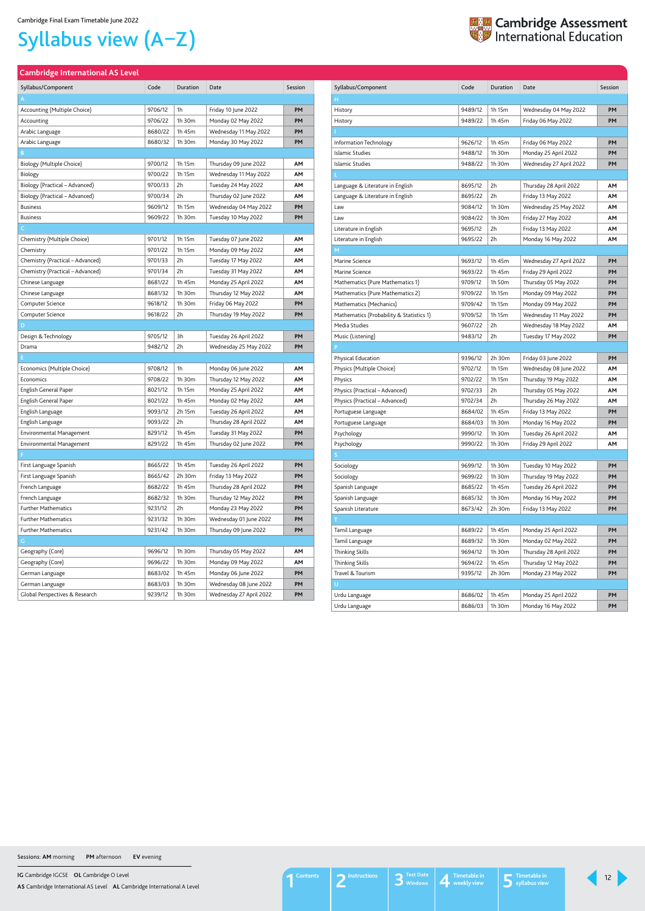**IG** Cambridge IGCSE **OL** Cambridge O Level

**AS** Cambridge International AS Level **AL** Cambridge International A Level

# Syllabus view (A–Z)

## <span id="page-11-0"></span>**Cambridge International AS Level**

| Syllabus/Component               | Code    | Duration    | Date                    | Session |
|----------------------------------|---------|-------------|-------------------------|---------|
| A                                |         |             |                         |         |
| Accounting (Multiple Choice)     | 9706/12 | 1h          | Friday 10 June 2022     | PΜ      |
| Accounting                       | 9706/22 | 1h 30m      | Monday 02 May 2022      | PM      |
| Arabic Language                  | 8680/22 | 1h 45m      | Wednesday 11 May 2022   | PM      |
| Arabic Language                  | 8680/32 | 1h 30m      | Monday 30 May 2022      | PM      |
| B                                |         |             |                         |         |
| Biology (Multiple Choice)        | 9700/12 | 1h 15m      | Thursday 09 June 2022   | AΜ      |
| Biology                          | 9700/22 | 1h 15m      | Wednesday 11 May 2022   | ΑМ      |
| Biology (Practical - Advanced)   | 9700/33 | 2h          | Tuesday 24 May 2022     | ΑМ      |
| Biology (Practical - Advanced)   | 9700/34 | 2h          | Thursday 02 June 2022   | ΑМ      |
| <b>Business</b>                  | 9609/12 | 1h 15m      | Wednesday 04 May 2022   | PM      |
| <b>Business</b>                  | 9609/22 | 1h 30m      | Tuesday 10 May 2022     | PM      |
| C.                               |         |             |                         |         |
| Chemistry (Multiple Choice)      | 9701/12 | 1h 15m      | Tuesday 07 June 2022    | ΑМ      |
| Chemistry                        | 9701/22 | 1h 15m      | Monday 09 May 2022      | ΑМ      |
| Chemistry (Practical - Advanced) | 9701/33 | 2h          | Tuesday 17 May 2022     | ΑМ      |
| Chemistry (Practical - Advanced) | 9701/34 | 2h          | Tuesday 31 May 2022     | ΑМ      |
| Chinese Language                 | 8681/22 | 1h 45m      | Monday 25 April 2022    | ΑМ      |
| Chinese Language                 | 8681/32 | 1h 30m      | Thursday 12 May 2022    | ΑМ      |
| Computer Science                 | 9618/12 | $1h$ 30 $m$ | Friday 06 May 2022      | PM      |
| Computer Science                 | 9618/22 | 2h          | Thursday 19 May 2022    | PM      |
| D                                |         |             |                         |         |
| Design & Technology              | 9705/12 | 3h          | Tuesday 26 April 2022   | PM      |
| Drama                            | 9482/12 | 2h          | Wednesday 25 May 2022   | PM      |
|                                  |         |             |                         |         |
| Economics (Multiple Choice)      | 9708/12 | 1h          | Monday 06 June 2022     | ΑМ      |
| Economics                        | 9708/22 | 1h 30m      | Thursday 12 May 2022    | ΑМ      |
| English General Paper            | 8021/12 | 1h 15m      | Monday 25 April 2022    | AΜ      |
| English General Paper            | 8021/22 | 1h 45m      | Monday 02 May 2022      | ΑМ      |
| English Language                 | 9093/12 | 2h 15m      | Tuesday 26 April 2022   | ΑМ      |
| English Language                 | 9093/22 | 2h          | Thursday 28 April 2022  | AΜ      |
| <b>Environmental Management</b>  | 8291/12 | 1h 45m      | Tuesday 31 May 2022     | PM      |
| Environmental Management         | 8291/22 | 1h 45m      | Thursday 02 June 2022   | PM      |
| F                                |         |             |                         |         |
| First Language Spanish           | 8665/22 | 1h 45m      | Tuesday 26 April 2022   | PM      |
| First Language Spanish           | 8665/42 | 2h 30m      | Friday 13 May 2022      | PM      |
| French Language                  | 8682/22 | 1h 45m      | Thursday 28 April 2022  | PM      |
| French Language                  | 8682/32 | 1h 30m      | Thursday 12 May 2022    | PM      |
| <b>Further Mathematics</b>       | 9231/12 | 2h          | Monday 23 May 2022      | PM      |
| <b>Further Mathematics</b>       | 9231/32 | 1h 30m      | Wednesday 01 June 2022  | PM      |
| <b>Further Mathematics</b>       | 9231/42 | 1h 30m      | Thursday 09 June 2022   | PM      |
| G                                |         |             |                         |         |
| Geography (Core)                 | 9696/12 | 1h 30m      | Thursday 05 May 2022    | AΜ      |
| Geography (Core)                 | 9696/22 | 1h 30m      | Monday 09 May 2022      | AΜ      |
| German Language                  | 8683/02 | 1h 45m      | Monday 06 June 2022     | PM      |
| German Language                  | 8683/03 | 1h 30m      | Wednesday 08 June 2022  | PM      |
| Global Perspectives & Research   | 9239/12 | 1h 30m      | Wednesday 27 April 2022 | PM      |



| Syllabus/Component                       | Code    | <b>Duration</b> | Date                    | Session   |
|------------------------------------------|---------|-----------------|-------------------------|-----------|
| н                                        |         |                 |                         |           |
| History                                  | 9489/12 | 1h 15m          | Wednesday 04 May 2022   | PM        |
| History                                  | 9489/22 | 1h 45m          | Friday 06 May 2022      | PM        |
|                                          |         |                 |                         |           |
| Information Technology                   | 9626/12 | 1h 45m          | Friday 06 May 2022      | PM        |
| Islamic Studies                          | 9488/12 | 1h 30m          | Monday 25 April 2022    | PM        |
| Islamic Studies                          | 9488/22 | 1h 30m          | Wednesday 27 April 2022 | PM        |
|                                          |         |                 |                         |           |
| Language & Literature in English         | 8695/12 | 2h              | Thursday 28 April 2022  | AΜ        |
| Language & Literature in English         | 8695/22 | 2h              | Friday 13 May 2022      | AΜ        |
| Law                                      | 9084/12 | 1h 30m          | Wednesday 25 May 2022   | AΜ        |
| Law                                      | 9084/22 | 1h 30m          | Friday 27 May 2022      | ΑМ        |
| Literature in English                    | 9695/12 | 2h              | Friday 13 May 2022      | AΜ        |
| Literature in English                    | 9695/22 | 2h              | Monday 16 May 2022      | AΜ        |
| м                                        |         |                 |                         |           |
| Marine Science                           | 9693/12 | 1h 45m          | Wednesday 27 April 2022 | PM        |
| Marine Science                           | 9693/22 | 1h 45m          | Friday 29 April 2022    | PM        |
| Mathematics (Pure Mathematics 1)         | 9709/12 | 1h 50m          | Thursday 05 May 2022    | PM        |
| Mathematics (Pure Mathematics 2)         | 9709/22 | 1h 15m          | Monday 09 May 2022      | PM        |
| Mathematics (Mechanics)                  | 9709/42 | 1h 15m          | Monday 09 May 2022      | <b>PM</b> |
| Mathematics (Probability & Statistics 1) | 9709/52 | 1h 15m          | Wednesday 11 May 2022   | PM        |
| Media Studies                            | 9607/22 | 2h              | Wednesday 18 May 2022   | AΜ        |
| Music (Listening)                        | 9483/12 | 2h              | Tuesday 17 May 2022     | PM        |
|                                          |         |                 |                         |           |
| Physical Education                       | 9396/12 | 2h 30m          | Friday 03 June 2022     | PМ        |
| Physics (Multiple Choice)                | 9702/12 | 1h 15m          | Wednesday 08 June 2022  | AΜ        |
| Physics                                  | 9702/22 | 1h 15m          | Thursday 19 May 2022    | AΜ        |
| Physics (Practical – Advanced)           | 9702/33 | 2h              | Thursday 05 May 2022    | AΜ        |
| Physics (Practical - Advanced)           | 9702/34 | 2h              | Thursday 26 May 2022    | AΜ        |
| Portuguese Language                      | 8684/02 | 1h 45m          | Friday 13 May 2022      | PM        |
| Portuguese Language                      | 8684/03 | 1h 30m          | Monday 16 May 2022      | PM        |
| Psychology                               | 9990/12 | 1h 30m          | Tuesday 26 April 2022   | АМ        |
| Psychology                               | 9990/22 | 1h 30m          | Friday 29 April 2022    | АМ        |
|                                          |         |                 |                         |           |
| Sociology                                | 9699/12 | 1h 30m          | Tuesday 10 May 2022     | PM        |
| Sociology                                | 9699/22 | 1h 30m          | Thursday 19 May 2022    | PM        |
| Spanish Language                         | 8685/22 | 1h 45m          | Tuesday 26 April 2022   | PM        |
| Spanish Language                         | 8685/32 | 1h 30m          | Monday 16 May 2022      | PM        |
| Spanish Literature                       | 8673/42 | 2h 30m          | Friday 13 May 2022      | PM        |
| T                                        |         |                 |                         |           |
| Tamil Language                           | 8689/22 | 1h 45m          | Monday 25 April 2022    | PM        |
| Tamil Language                           | 8689/32 | 1h 30m          | Monday 02 May 2022      | PM        |
| <b>Thinking Skills</b>                   | 9694/12 | 1h 30m          | Thursday 28 April 2022  | PM        |
| <b>Thinking Skills</b>                   | 9694/22 | 1h 45m          | Thursday 12 May 2022    | PM        |
| Travel & Tourism                         | 9395/12 | 2h 30m          | Monday 23 May 2022      | PM        |
| U                                        |         |                 |                         |           |
| Urdu Language                            | 8686/02 | 1h 45m          | Monday 25 April 2022    | PM        |
| Urdu Language                            | 8686/03 | 1h 30m          | Monday 16 May 2022      | PM        |